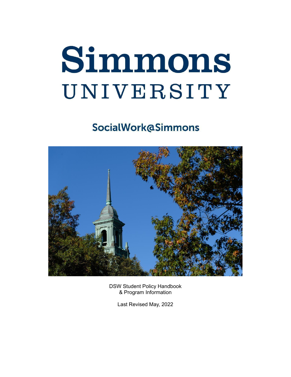# **Simmons** UNIVERSITY

# **SocialWork@Simmons**



 DSW Student Policy Handbook & Program Information

Last Revised May, 2022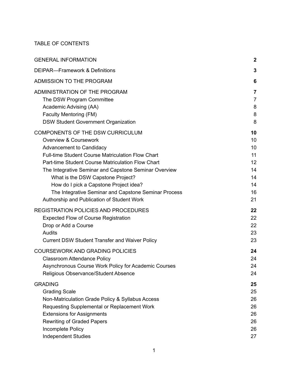#### TABLE OF CONTENTS

| $\boldsymbol{2}$                                         |
|----------------------------------------------------------|
| 3                                                        |
| 6                                                        |
| 7<br>$\overline{7}$<br>8<br>8<br>8                       |
| 10<br>10<br>10<br>11<br>12<br>14<br>14<br>14<br>16<br>21 |
| 22<br>22<br>22<br>23<br>23                               |
| 24<br>24<br>24<br>24                                     |
| 25<br>25<br>26<br>26<br>26<br>26<br>26<br>27             |
|                                                          |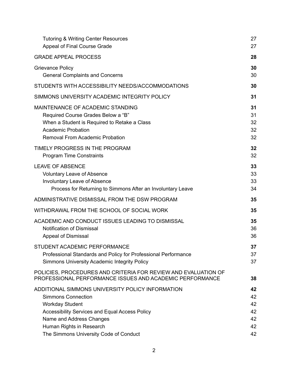| <b>Tutoring &amp; Writing Center Resources</b>                                                                             | 27 |
|----------------------------------------------------------------------------------------------------------------------------|----|
| Appeal of Final Course Grade                                                                                               | 27 |
| <b>GRADE APPEAL PROCESS</b>                                                                                                | 28 |
| <b>Grievance Policy</b>                                                                                                    | 30 |
| <b>General Complaints and Concerns</b>                                                                                     | 30 |
| STUDENTS WITH ACCESSIBILITY NEEDS/ACCOMMODATIONS                                                                           | 30 |
| SIMMONS UNIVERSITY ACADEMIC INTEGRITY POLICY                                                                               | 31 |
| MAINTENANCE OF ACADEMIC STANDING                                                                                           | 31 |
| Required Course Grades Below a "B"                                                                                         | 31 |
| When a Student is Required to Retake a Class                                                                               | 32 |
| <b>Academic Probation</b>                                                                                                  | 32 |
| <b>Removal From Academic Probation</b>                                                                                     | 32 |
| TIMELY PROGRESS IN THE PROGRAM                                                                                             | 32 |
| <b>Program Time Constraints</b>                                                                                            | 32 |
| <b>LEAVE OF ABSENCE</b>                                                                                                    | 33 |
| <b>Voluntary Leave of Absence</b>                                                                                          | 33 |
| Involuntary Leave of Absence                                                                                               | 33 |
| Process for Returning to Simmons After an Involuntary Leave                                                                | 34 |
| ADMINISTRATIVE DISMISSAL FROM THE DSW PROGRAM                                                                              | 35 |
| WITHDRAWAL FROM THE SCHOOL OF SOCIAL WORK                                                                                  | 35 |
| ACADEMIC AND CONDUCT ISSUES LEADING TO DISMISSAL                                                                           | 35 |
| <b>Notification of Dismissal</b>                                                                                           | 36 |
| <b>Appeal of Dismissal</b>                                                                                                 | 36 |
| STUDENT ACADEMIC PERFORMANCE                                                                                               | 37 |
| Professional Standards and Policy for Professional Performance                                                             | 37 |
| Simmons University Academic Integrity Policy                                                                               | 37 |
| POLICIES, PROCEDURES AND CRITERIA FOR REVIEW AND EVALUATION OF<br>PROFESSIONAL PERFORMANCE ISSUES AND ACADEMIC PERFORMANCE | 38 |
| ADDITIONAL SIMMONS UNIVERSITY POLICY INFORMATION                                                                           | 42 |
| <b>Simmons Connection</b>                                                                                                  | 42 |
| <b>Workday Student</b>                                                                                                     | 42 |
| <b>Accessibility Services and Equal Access Policy</b>                                                                      | 42 |
| Name and Address Changes                                                                                                   | 42 |
| Human Rights in Research                                                                                                   | 42 |
| The Simmons University Code of Conduct                                                                                     | 42 |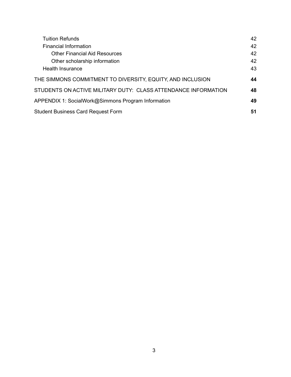| <b>Tuition Refunds</b>                                         | 42 |
|----------------------------------------------------------------|----|
| Financial Information                                          | 42 |
| <b>Other Financial Aid Resources</b>                           | 42 |
| Other scholarship information                                  | 42 |
| Health Insurance                                               | 43 |
| THE SIMMONS COMMITMENT TO DIVERSITY, EQUITY, AND INCLUSION     | 44 |
| STUDENTS ON ACTIVE MILITARY DUTY: CLASS ATTENDANCE INFORMATION | 48 |
| APPENDIX 1: SocialWork@Simmons Program Information             | 49 |
| <b>Student Business Card Request Form</b>                      | 51 |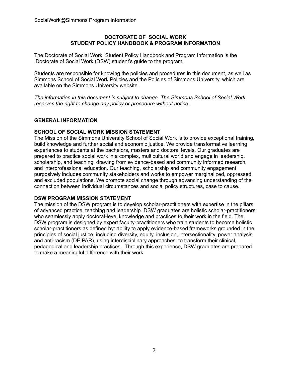#### **DOCTORATE OF SOCIAL WORK STUDENT POLICY HANDBOOK & PROGRAM INFORMATION**

 The Doctorate of Social Work Student Policy Handbook and Program Information is the Doctorate of Social Work (DSW) student's guide to the program.

 Students are responsible for knowing the policies and procedures in this document, as well as Simmons School of Social Work Policies and the Policies of Simmons University, which are available on the Simmons University website.

 *The information in this document is subject to change. The Simmons School of Social Work reserves the right to change any policy or procedure without notice.*

#### <span id="page-4-0"></span>**GENERAL INFORMATION**

#### **SCHOOL OF SOCIAL WORK MISSION STATEMENT**

 The Mission of the Simmons University School of Social Work is to provide exceptional training, build knowledge and further social and economic justice. We provide transformative learning experiences to students at the bachelors, masters and doctoral levels. Our graduates are prepared to practice social work in a complex, multicultural world and engage in leadership, scholarship, and teaching, drawing from evidence-based and community informed research, and interprofessional education. Our teaching, scholarship and community engagement purposively includes community stakeholders and works to empower marginalized, oppressed and excluded populations. We promote social change through advancing understanding of the connection between individual circumstances and social policy structures, case to cause.

#### **DSW PROGRAM MISSION STATEMENT**

 The mission of the DSW program is to develop scholar-practitioners with expertise in the pillars of advanced practice, teaching and leadership. DSW graduates are holistic scholar-practitioners who seamlessly apply doctoral-level knowledge and practices to their work in the field. The DSW program is designed by expert faculty-practitioners who train students to become holistic scholar-practitioners as defined by: ability to apply evidence-based frameworks grounded in the principles of social justice, including diversity, equity, inclusion, intersectionality, power analysis and anti-racism (DEIPAR), using interdisciplinary approaches, to transform their clinical, pedagogical and leadership practices. Through this experience, DSW graduates are prepared to make a meaningful difference with their work.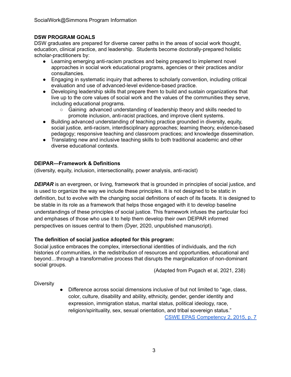# **DSW PROGRAM GOALS**

 DSW graduates are prepared for diverse career paths in the areas of social work thought, education, clinical practice, and leadership. Students become doctorally-prepared holistic scholar-practitioners by:

- ● Learning emerging anti-racism practices and being prepared to implement novel approaches in social work educational programs, agencies or their practices and/or consultancies.
- ● Engaging in systematic inquiry that adheres to scholarly convention, including critical evaluation and use of advanced-level evidence-based practice.
- ● Developing leadership skills that prepare them to build and sustain organizations that live up to the core values of social work and the values of the communities they serve, including educational programs.
	- Gaining advanced understanding of leadership theory and skills needed to promote inclusion, anti-racist practices, and improve client systems.
- ● Building advanced understanding of teaching practice grounded in diversity, equity, social justice, anti-racism, interdisciplinary approaches; learning theory, evidence-based pedagogy; responsive teaching and classroom practices; and knowledge dissemination.
- ● Translating new and inclusive teaching skills to both traditional academic and other diverse educational contexts.

# <span id="page-5-0"></span> **DEIPAR—Framework & Definitions**

(diversity, equity, inclusion, intersectionality, power analysis, anti-racist)

 *DEIPAR* is an evergreen, or living, framework that is grounded in principles of social justice, and is used to organize the way we include these principles. It is not designed to be static in definition, but to evolve with the changing social definitions of each of its facets. It is designed to be stable in its role as a framework that helps those engaged with it to develop baseline understandings of these principles of social justice. This framework infuses the particular foci and emphases of those who use it to help them develop their own DEIPAR informed perspectives on issues central to them (Dyer, 2020, unpublished manuscript).

#### **The definition of social justice adopted for this program:**

 Social justice embraces the complex, intersectional identities of individuals, and the rich histories of communities, in the redistribution of resources and opportunities, educational and beyond…through a transformative process that disrupts the marginalization of non-dominant social groups.

(Adapted from Pugach et al, 2021, 238)

#### **Diversity**

 ● Difference across social dimensions inclusive of but not limited to "age, class, color, culture, disability and ability, ethnicity, gender, gender identity and expression, immigration status, marital status, political ideology, race, religion/spirituality, sex, sexual orientation, and tribal sovereign status."

CSWE EPAS [Competency](https://www.cswe.org/getattachment/Accreditation/Standards-and-Policies/2015-EPAS/2015EPASandGlossary.pdf) 2, 2015, p. 7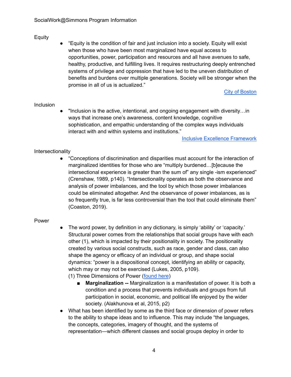# Equity

 ● "Equity is the condition of fair and just inclusion into a society. Equity will exist when those who have been most marginalized have equal access to opportunities, power, participation and resources and all have avenues to safe, healthy, productive, and fulfilling lives. It requires restructuring deeply entrenched systems of privilege and oppression that have led to the uneven distribution of benefits and burdens over multiple generations. Society will be stronger when the promise in all of us is actualized."

**City of [Boston](https://equityagenda.mapc.org/)** 

#### Inclusion

 ● "Inclusion is the active, intentional, and ongoing engagement with diversity…in ways that increase one's awareness, content knowledge, cognitive sophistication, and empathic understanding of the complex ways individuals interact with and within systems and institutions."

Inclusive Excellence [Framework](https://diversity.missouri.edu/our-work/inclusive-excellence-framework)

# Intersectionality

 ● "Conceptions of discrimination and disparities must account for the interaction of marginalized identities for those who are "multiply burdened…[b]ecause the intersectional experience is greater than the sum of" any single -ism experienced" (Crenshaw, 1989, p140). "Intersectionality operates as both the observance and analysis of power imbalances, and the tool by which those power imbalances could be eliminated altogether. And the observance of power imbalances, as is so frequently true, is far less controversial than the tool that could eliminate them" (Coaston, 2019).

#### Power

 ● The word power, by definition in any dictionary, is simply 'ability' or 'capacity.' Structural power comes from the relationships that social groups have with each other (1), which is impacted by their positionality in society. The positionality created by various social constructs, such as race, gender and class, can also shape the agency or efficacy of an individual or group, and shape social dynamics: "power is a dispositional concept, identifying an ability or capacity, which may or may not be exercised (Lukes, 2005, p109).

(1) Three Dimensions of Power ([found](https://grassrootspowerproject.org/toolbox) here)

- **Marginalization --** Marginalization is a manifestation of power. It is both a condition and a process that prevents individuals and groups from full participation in social, economic, and political life enjoyed by the wider society. (Alakhunova et al, 2015, p2)
- ● What has been identified by some as the third face or dimension of power refers to the ability to shape ideas and to influence. This may include "the languages, the concepts, categories, imagery of thought, and the systems of representation—which different classes and social groups deploy in order to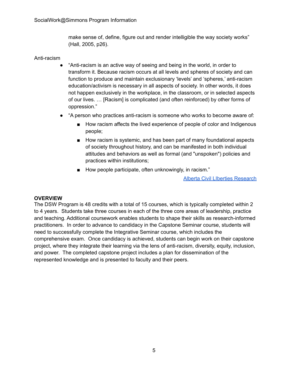make sense of, define, figure out and render intelligible the way society works" (Hall, 2005, p26).

# Anti-racism

- ● "Anti-racism is an active way of seeing and being in the world, in order to transform it. Because racism occurs at all levels and spheres of society and can function to produce and maintain exclusionary 'levels' and 'spheres,' anti-racism education/activism is necessary in all aspects of society. In other words, it does not happen exclusively in the workplace, in the classroom, or in selected aspects of our lives. … [Racism] is complicated (and often reinforced) by other forms of oppression."
- ● "A person who practices anti-racism is someone who works to become aware of:
	- How racism affects the lived experience of people of color and Indigenous people;
	- How racism is systemic, and has been part of many foundational aspects of society throughout history, and can be manifested in both individual attitudes and behaviors as well as formal (and "unspoken") policies and practices within institutions;
	- How people participate, often unknowingly, in racism."

Alberta Civil LIberties [Research](https://www.aclrc.com/antiracism)

#### **OVERVIEW**

 The DSW Program is 48 credits with a total of 15 courses, which is typically completed within 2 to 4 years. Students take three courses in each of the three core areas of leadership, practice and teaching. Additional coursework enables students to shape their skills as research-informed practitioners. In order to advance to candidacy in the Capstone Seminar course, students will need to successfully complete the Integrative Seminar course, which includes the comprehensive exam. Once candidacy is achieved, students can begin work on their capstone project, where they integrate their learning via the lens of anti-racism, diversity, equity, inclusion, and power. The completed capstone project includes a plan for dissemination of the represented knowledge and is presented to faculty and their peers.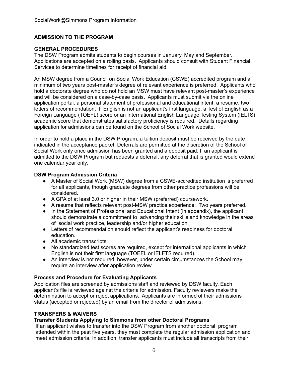# <span id="page-8-0"></span> **ADMISSION TO THE PROGRAM**

#### **GENERAL PROCEDURES**

 The DSW Program admits students to begin courses in January, May and September. Applications are accepted on a rolling basis. Applicants should consult with Student Financial Services to determine timelines for receipt of financial aid.

 An MSW degree from a Council on Social Work Education (CSWE) accredited program and a minimum of two years post-master's degree of relevant experience is preferred. Applicants who hold a doctorate degree who do not hold an MSW must have relevant post-master's experience and will be considered on a case-by-case basis. Applicants must submit via the online application portal, a personal statement of professional and educational intent, a resume, two letters of recommendation. If English is not an applicant's first language, a Test of English as a Foreign Language (TOEFL) score or an International English Language Testing System (IELTS) academic score that demonstrates satisfactory proficiency is required. Details regarding application for admissions can be found on the School of Social Work website.

 In order to hold a place in the DSW Program, a tuition deposit must be received by the date indicated in the acceptance packet. Deferrals are permitted at the discretion of the School of Social Work only once admission has been granted and a deposit paid. If an applicant is admitted to the DSW Program but requests a deferral, any deferral that is granted would extend one calendar year only.

#### **DSW Program Admission Criteria**

- ● A Master of Social Work (MSW) degree from a CSWE-accredited institution is preferred for all applicants, though graduate degrees from other practice professions will be considered.
- A GPA of at least 3.0 or higher in their MSW (preferred) coursework.
- A resume that reflects relevant post-MSW practice experience. Two years preferred.
- ● In the Statement of Professional and Educational Intent (in appendix), the applicant should demonstrate a commitment to advancing their skills and knowledge in the areas of social work practice, leadership and/or higher education.
- ● Letters of recommendation should reflect the applicant's readiness for doctoral education.
- All academic transcripts
- ● No standardized test scores are required, except for international applicants in which English is not their first language (TOEFL or IELFTS required).
- ● An interview is not required; however, under certain circumstances the School may require an interview after application review.

#### **Process and Procedure for Evaluating Applicants**

 Application files are screened by admissions staff and reviewed by DSW faculty. Each applicant's file is reviewed against the criteria for admission. Faculty reviewers make the determination to accept or reject applications. Applicants are informed of their admissions status (accepted or rejected) by an email from the director of admissions.

#### **TRANSFERS & WAIVERS**

#### **Transfer Students Applying to Simmons from other Doctoral Programs**

 If an applicant wishes to transfer into the DSW Program from another doctoral program attended within the past five years, they must complete the regular admission application and meet admission criteria. In addition, transfer applicants must include all transcripts from their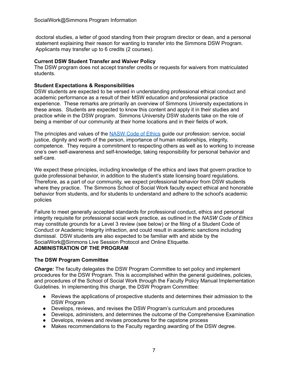doctoral studies, a letter of good standing from their program director or dean, and a personal statement explaining their reason for wanting to transfer into the Simmons DSW Program. Applicants may transfer up to 6 credits (2 courses).

#### **Current DSW Student Transfer and Waiver Policy**

 The DSW program does not accept transfer credits or requests for waivers from matriculated students.

# **Student Expectations & Responsibilities**

 DSW students are expected to be versed in understanding professional ethical conduct and academic performance as a result of their MSW education and professional practice experience. These remarks are primarily an overview of Simmons University expectations in these areas. Students are expected to know this content and apply it in their studies and practice while in the DSW program. Simmons University DSW students take on the role of being a member of our community at their home locations and in their fields of work.

The principles and values of the **[NASW](https://www.socialworkers.org/About/Ethics/Code-of-Ethics/Code-of-Ethics-English) Code of Ethics** guide our profession: service, social justice, dignity and worth of the person, importance of human relationships, integrity, competence. They require a commitment to respecting others as well as to working to increase one's own self-awareness and self-knowledge, taking responsibility for personal behavior and self-care.

 We expect these principles, including knowledge of the ethics and laws that govern practice to guide professional behavior, in addition to the student's state licensing board regulations. Therefore, as a part of our community, we expect professional behavior from DSW students where they practice. The Simmons School of Social Work faculty expect ethical and honorable behavior from students, and for students to understand and adhere to the school's academic policies

 Failure to meet generally accepted standards for professional conduct, ethics and personal integrity requisite for professional social work practice, as outlined in the *NASW Code of Ethics* may constitute grounds for a Level 3 review (see below) or the filing of a Student Code of Conduct or Academic Integrity infraction, and could result in academic sanctions including dismissal. DSW students are also expected to be familiar with and abide by the SocialWork@Simmons Live Session Protocol and Online Etiquette.

# <span id="page-9-0"></span> **ADMINISTRATION OF THE PROGRAM**

# <span id="page-9-1"></span> **The DSW Program Committee**

 *Charge:* The faculty delegates the DSW Program Committee to set policy and implement procedures for the DSW Program. This is accomplished within the general guidelines, policies, and procedures of the School of Social Work through the Faculty Policy Manual Implementation Guidelines. In implementing this charge, the DSW Program Committee:

- ● Reviews the applications of prospective students and determines their admission to the DSW Program
- Develops, reviews, and revises the DSW Program's curriculum and procedures
- Develops, administers, and determines the outcome of the Comprehensive Examination
- Develops, reviews and revises procedures for the capstone process
- Makes recommendations to the Faculty regarding awarding of the DSW degree.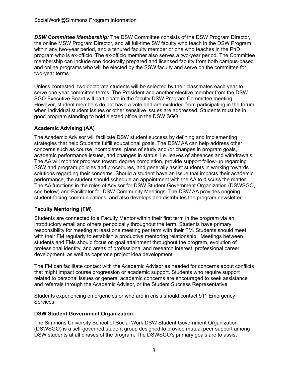*DSW Committee Membership:* The DSW Committee consists of the DSW Program Director, the online MSW Program Director, and all full-time SW faculty who teach in the DSW Program within any two-year period, and a tenured faculty member or one who teaches in the PhD program who is ex-officio. The ex-officio member also serves a two-year period. The Committee membership can include one doctorally prepared and licensed faculty from both campus-based and online programs who will be elected by the SSW faculty and serve on the committee for two-year terms.

 Unless contested, two doctorate students will be selected by their classmates each year to serve one-year committee terms. The President and another elective member from the DSW SGO Executive Board will participate in the faculty DSW Program Committee meeting. However, student members do not have a vote and are excluded from participating in the forum when individual student issues or other sensitive issues are addressed. Students must be in good program standing to hold elected office in the DSW SGO.

# <span id="page-10-0"></span> **Academic Advising (AA)**

 The Academic Advisor will facilitate DSW student success by defining and implementing strategies that help Students fulfill educational goals. The DSW AA can help address other concerns such as course incompletes, plans of study and /or changes in program goals, academic performance issues, and changes in status, i.e. leaves of absences and withdrawals. The AA will monitor progress toward degree completion, provide support follow-up regarding SSW and program policies and procedures, and generally assist students in working towards solutions regarding their concerns. Should a student have an issue that impacts their academic performance, the student should schedule an appointment with the AA to discuss the matter. The AA functions in the roles of Advisor for DSW Student Government Organization (DSWSGO, see below) and Facilitator for DSW Community Meetings. The DSW AA provides ongoing student-facing communications, and also develops and distributes the program newsletter.

# <span id="page-10-1"></span> **Faculty Mentoring (FM)**

 Students are connected to a Faculty Mentor within their first term in the program via an introductory email and others periodically throughout the term. Students have primary responsibility for meeting at least one meeting per term with their FM. Students should meet with their FM regularly to establish a productive mentoring relationship. Meetings between students and FMs should focus on goal attainment throughout the program, evolution of professional identity, and areas of professional and research interest, professional career development, as well as capstone project idea development.

 The FM can facilitate contact with the Academic Advisor as needed for concerns about conflicts that might impact course progression or academic support. Students who require support related to personal issues or general academic concerns are encouraged to seek assistance and referrals through the Academic Advisor, or the Student Success Representative.

 Students experiencing emergencies or who are in crisis should contact 911 Emergency Services.

# <span id="page-10-2"></span> **DSW Student Government Organization**

 The Simmons University School of Social Work DSW Student Government Organization (DSWSGO) is a self-governed student group designed to provide mutual peer support among DSW students at all phases of the program. The DSWSGO's primary goals are to assist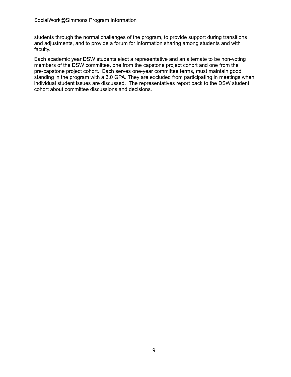students through the normal challenges of the program, to provide support during transitions and adjustments, and to provide a forum for information sharing among students and with faculty.

 Each academic year DSW students elect a representative and an alternate to be non-voting members of the DSW committee, one from the capstone project cohort and one from the pre-capstone project cohort. Each serves one-year committee terms, must maintain good standing in the program with a 3.0 GPA. They are excluded from participating in meetings when individual student issues are discussed. The representatives report back to the DSW student cohort about committee discussions and decisions.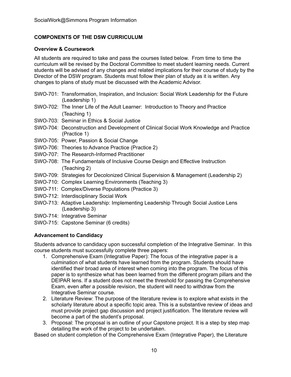# <span id="page-12-0"></span> **COMPONENTS OF THE DSW CURRICULUM**

# <span id="page-12-1"></span> **Overview & Coursework**

 All students are required to take and pass the courses listed below. From time to time the curriculum will be revised by the Doctoral Committee to meet student learning needs. Current students will be advised of any changes and related implications for their course of study by the Director of the DSW program. Students must follow their plan of study as it is written. Any changes to plans of study must be discussed with the Academic Advisor.

- SWO-701: Transformation, Inspiration, and Inclusion: Social Work Leadership for the Future (Leadership 1)
- SWO-702: The Inner Life of the Adult Learner: Introduction to Theory and Practice (Teaching 1)
- SWO-703: Seminar in Ethics & Social Justice
- SWO-704: Deconstruction and Development of Clinical Social Work Knowledge and Practice (Practice 1)
- SWO-705: Power, Passion & Social Change
- SWO-706: Theories to Advance Practice (Practice 2)
- SWO-707: The Research-Informed Practitioner
- SWO-708: The Fundamentals of Inclusive Course Design and Effective Instruction (Teaching 2)
- SWO-709: Strategies for Decolonized Clinical Supervision & Management (Leadership 2)
- SWO-710: Complex Learning Environments (Teaching 3)
- SWO-711: Complex/Diverse Populations (Practice 3)
- SWO-712: Interdisciplinary Social Work
- SWO-713: Adaptive Leadership: Implementing Leadership Through Social Justice Lens (Leadership 3)
- SWO-714: Integrative Seminar
- SWO-715: Capstone Seminar (6 credits)

# <span id="page-12-2"></span> **Advancement to Candidacy**

 Students advance to candidacy upon successful completion of the Integrative Seminar. In this course students must successfully complete three papers:

- 1. Comprehensive Exam (Integrative Paper): The focus of the integrative paper is a culmination of what students have learned from the program. Students should have identified their broad area of interest when coming into the program. The focus of this paper is to synthesize what has been learned from the different program pillars and the DEIPAR lens. If a student does not meet the threshold for passing the Comprehensive Exam, even after a possible revision, the student will need to withdraw from the Integrative Seminar course.
- 2. Literature Review: The purpose of the literature review is to explore what exists in the scholarly literature about a specific topic area. This is a substantive review of ideas and must provide project gap discussion and project justification. The literature review will become a part of the student's proposal.
- 3. Proposal: The proposal is an outline of your Capstone project. It is a step by step map detailing the work of the project to be undertaken.

Based on student completion of the Comprehensive Exam (Integrative Paper), the Literature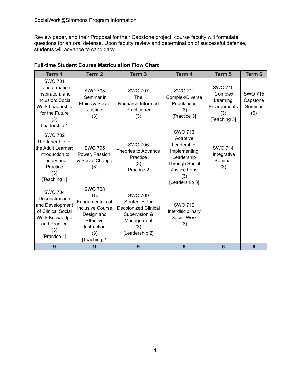Review paper, and their Proposal for their Capstone project, course faculty will formulate questions for an oral defense. Upon faculty review and determination of successful defense, students will advance to candidacy.

| Term 1                                                                                                                                   | Term <sub>2</sub>                                                                                                                           | Term <sub>3</sub>                                                                                                       | Term 4                                                                                                                                    | Term <sub>5</sub>                                                            | Term 6                                       |
|------------------------------------------------------------------------------------------------------------------------------------------|---------------------------------------------------------------------------------------------------------------------------------------------|-------------------------------------------------------------------------------------------------------------------------|-------------------------------------------------------------------------------------------------------------------------------------------|------------------------------------------------------------------------------|----------------------------------------------|
| <b>SWO 701</b><br>Transformation,<br>Inspiration, and<br>Inclusion: Social<br>Work Leadership<br>for the Future<br>(3)<br>[Leadership 1] | <b>SWO 703</b><br>Seminar in<br>Ethics & Social<br>Justice<br>(3)                                                                           | <b>SWO 707</b><br>The<br>Research-Informed<br>Practitioner<br>(3)                                                       | <b>SWO 711</b><br>Complex/Diverse<br>Populations<br>(3)<br>[Practice 3]                                                                   | <b>SWO 710</b><br>Complex<br>Learning<br>Environments<br>(3)<br>[Teaching 3] | <b>SWO 715</b><br>Capstone<br>Seminar<br>(6) |
| <b>SWO 702</b><br>The Inner Life of<br>the Adult Learner:<br>Introduction to<br>Theory and<br>Practice<br>(3)<br>[Teaching 1]            | <b>SWO 705</b><br>Power, Passion,<br>& Social Change<br>(3)                                                                                 | <b>SWO 706</b><br>Theories to Advance<br>Practice<br>(3)<br>[Practice 2]                                                | <b>SWO 713</b><br>Adaptive<br>Leadership:<br>Implementing<br>Leadership<br><b>Through Social</b><br>Justice Lens<br>(3)<br>[Leadership 3] | <b>SWO 714</b><br>Integrative<br>Seminar<br>(3)                              |                                              |
| <b>SWO 704</b><br>Deconstruction<br>and Development<br>of Clinical Social<br>Work Knowledge<br>and Practice<br>(3)<br>[Practice 1]       | <b>SWO 708</b><br><b>The</b><br>Fundamentals of<br><b>Inclusive Course</b><br>Design and<br>Effective<br>Instruction<br>(3)<br>[Teaching 2] | <b>SWO 709</b><br>Strategies for<br><b>Decolonized Clinical</b><br>Supervision &<br>Management<br>(3)<br>[Leadership 2] | <b>SWO 712</b><br>Interdisciplinary<br>Social Work<br>(3)                                                                                 |                                                                              |                                              |
| 9                                                                                                                                        | 9                                                                                                                                           | 9                                                                                                                       | 9                                                                                                                                         | 6                                                                            | $6\phantom{1}6$                              |

# <span id="page-13-0"></span> **Full-time Student Course Matriculation Flow Chart**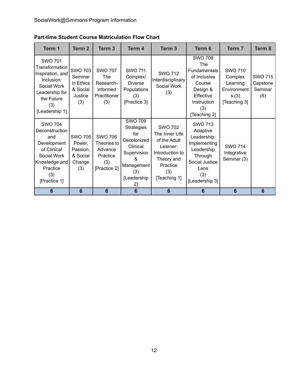<span id="page-14-0"></span>

| <b>Part-time Student Course Matriculation Flow Chart</b> |
|----------------------------------------------------------|
|----------------------------------------------------------|

| Term 1                                                                                                                                     | Term <sub>2</sub>                                                    | Term <sub>3</sub>                                                            | Term 4                                                                                                                               | Term 5                                                                                                                           | Term 6                                                                                                                                | Term 7                                                                       | Term 8                                       |
|--------------------------------------------------------------------------------------------------------------------------------------------|----------------------------------------------------------------------|------------------------------------------------------------------------------|--------------------------------------------------------------------------------------------------------------------------------------|----------------------------------------------------------------------------------------------------------------------------------|---------------------------------------------------------------------------------------------------------------------------------------|------------------------------------------------------------------------------|----------------------------------------------|
| <b>SWO 701</b><br>Transformation<br>Inspiration, and<br>Inclusion:<br>Social Work<br>Leadership for<br>the Future<br>(3)<br>[Leadership 1] | <b>SWO 703</b><br>Seminar<br>in Ethics<br>& Social<br>Justice<br>(3) | <b>SWO 707</b><br><b>The</b><br>Research-<br>Informed<br>Practitioner<br>(3) | <b>SWO 711</b><br>Complex/<br><b>Diverse</b><br>Populations<br>(3)<br>[Practice 3]                                                   | <b>SWO 712</b><br>Interdisciplinary<br>Social Work<br>(3)                                                                        | <b>SWO 708</b><br>The<br><b>Fundamentals</b><br>of Inclusive<br>Course<br>Design &<br>Effective<br>Instruction<br>(3)<br>[Teaching 2] | <b>SWO 710</b><br>Complex<br>Learning<br>Environment<br>s(3)<br>[Teaching 3] | <b>SWO 715</b><br>Capstone<br>Seminar<br>(6) |
| <b>SWO 704</b><br>Deconstruction<br>and<br>Development<br>of Clinical<br>Social Work<br>Knowledge and<br>Practice<br>(3)<br>[Practice 1]   | <b>SWO 705</b><br>Power,<br>Passion,<br>& Social<br>Change<br>(3)    | <b>SWO 706</b><br>Theories to<br>Advance<br>Practice<br>(3)<br>[Practice 2]  | <b>SWO 709</b><br><b>Strategies</b><br>for<br>Decolonized<br>Clinical<br>Supervision<br>ጼ<br>Management<br>(3)<br>[Leadership]<br>2] | <b>SWO 702</b><br>The Inner Life<br>of the Adult<br>Learner:<br>Introduction to<br>Theory and<br>Practice<br>(3)<br>[Teaching 1] | <b>SWO 713</b><br>Adaptive<br>Leadership:<br>Implementing<br>Leadership<br>Through<br>Social Justice<br>Lens<br>(3)<br>[Leadership 3] | <b>SWO 714</b><br>Integrative<br>Seminar (3)                                 |                                              |
| 6                                                                                                                                          | $6\phantom{1}6$                                                      | $6\phantom{1}6$                                                              | 6                                                                                                                                    | $6\phantom{1}$                                                                                                                   | $6\phantom{1}6$                                                                                                                       | 6                                                                            | $6\phantom{1}6$                              |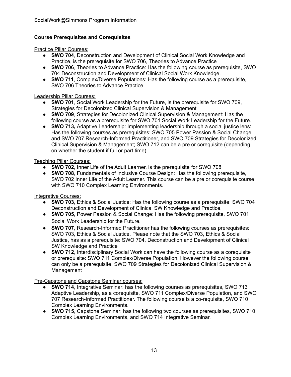# **Course Prerequisites and Corequisites**

Practice Pillar Courses:

- ● **SWO 704**, Deconstruction and Development of Clinical Social Work Knowledge and Practice, is the prerequisite for SWO 706, Theories to Advance Practice
- ● **SWO 706**, Theories to Advance Practice: Has the following course as prerequisite, SWO 704 Deconstruction and Development of Clinical Social Work Knowledge.
- ● **SWO 711**, Complex/Diverse Populations: Has the following course as a prerequisite, SWO 706 Theories to Advance Practice.

# Leadership Pillar Courses:

- ● **SWO 701**, Social Work Leadership for the Future, is the prerequisite for SWO 709, Strategies for Decolonized Clinical Supervision & Management
- ● **SWO 709**, Strategies for Decolonized Clinical Supervision & Management: Has the following course as a prerequisite for SWO 701 Social Work Leadership for the Future.
- ● **SWO 713,** Adaptive Leadership: Implementing leadership through a social justice lens: Has the following courses as prerequisites: SWO 705 Power Passion & Social Change and SWO 707 Research-Informed Practitioner, and SWO 709 Strategies for Decolonized Clinical Supervision & Management; SWO 712 can be a pre or corequisite (depending on whether the student if full or part time).

# Teaching Pillar Courses:

- **SWO 702**, Inner Life of the Adult Learner, is the prerequisite for SWO 708
- ● **SWO 708**, Fundamentals of Inclusive Course Design: Has the following prerequisite, SWO 702 Inner Life of the Adult Learner. This course can be a pre or corequisite course with SWO 710 Complex Learning Environments.

Integrative Courses:

- ● **SWO 703**, Ethics & Social Justice: Has the following course as a prerequisite: SWO 704 Deconstruction and Development of Clinical SW Knowledge and Practice.
- ● **SWO 705**, Power Passion & Social Change: Has the following prerequisite, SWO 701 Social Work Leadership for the Future.
- ● **SWO 707**, Research-Informed Practitioner has the following courses as prerequisites: SWO 703, Ethics & Social Justice. Please note that the SWO 703, Ethics & Social Justice, has as a prerequisite: SWO 704, Deconstruction and Development of Clinical SW Knowledge and Practice
- ● **SWO 712**, Interdisciplinary Social Work can have the following course as a corequisite or prerequisite: SWO 711 Complex/Diverse Population. However the following course can only be a prerequisite: SWO 709 Strategies for Decolonized Clinical Supervision & Management

Pre-Capstone and Capstone Seminar courses:

- ● **SWO 714**, Integrative Seminar: has the following courses as prerequisites, SWO 713 Adaptive Leadership, as a corequisite, SWO 711 Complex/Diverse Population, and SWO 707 Research-Informed Practitioner. The following course is a co-requisite, SWO 710 Complex Learning Environments.
- ● **SWO 715**, Capstone Seminar: has the following two courses as prerequisites, SWO 710 Complex Learning Environments, and SWO 714 Integrative Seminar.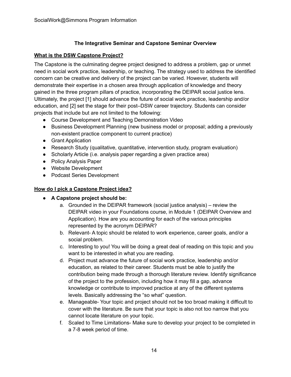# **The Integrative Seminar and Capstone Seminar Overview**

# <span id="page-16-1"></span><span id="page-16-0"></span> **What is the DSW Capstone Project?**

 The Capstone is the culminating degree project designed to address a problem, gap or unmet need in social work practice, leadership, or teaching. The strategy used to address the identified concern can be creative and delivery of the project can be varied. However, students will demonstrate their expertise in a chosen area through application of knowledge and theory gained in the three program pillars of practice, incorporating the DEIPAR social justice lens. Ultimately, the project [1] should advance the future of social work practice, leadership and/or education, and [2] set the stage for their post–DSW career trajectory. Students can consider projects that include but are not limited to the following:

- Course Development and Teaching Demonstration Video
- ● Business Development Planning (new business model or proposal; adding a previously non-existent practice component to current practice)
- Grant Application
- Research Study (qualitative, quantitative, intervention study, program evaluation)
- Scholarly Article (i.e. analysis paper regarding a given practice area)
- Policy Analysis Paper
- Website Development
- Podcast Series Development

# <span id="page-16-2"></span> **How do I pick a Capstone Project idea?**

# **● A Capstone project should be:**

- a. Grounded in the DEIPAR framework (social justice analysis) review the DEIPAR video in your Foundations course, in Module 1 (DEIPAR Overview and Application). How are you accounting for each of the various principles represented by the acronym DEIPAR?
- b. Relevant- A topic should be related to work experience, career goals, and/or a social problem.
- c. Interesting to you! You will be doing a great deal of reading on this topic and you want to be interested in what you are reading.
- d. Project must advance the future of social work practice, leadership and/or education, as related to their career. Students must be able to justify the contribution being made through a thorough literature review. Identify significance of the project to the profession, including how it may fill a gap, advance knowledge or contribute to improved practice at any of the different systems levels. Basically addressing the "so what" question.
- e. Manageable- Your topic and project should not be too broad making it difficult to cover with the literature. Be sure that your topic is also not too narrow that you cannot locate literature on your topic.
- f. Scaled to Time Limitations- Make sure to develop your project to be completed in a 7-8 week period of time.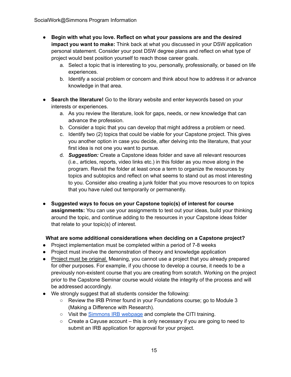- **Begin with what you love. Reflect on what your passions are and the desired impact you want to make:** Think back at what you discussed in your DSW application personal statement. Consider your post DSW degree plans and reflect on what type of project would best position yourself to reach those career goals.
	- a. Select a topic that is interesting to you, personally, professionally, or based on life experiences.
	- b. Identify a social problem or concern and think about how to address it or advance knowledge in that area.
- **Search the literature!** Go to the library website and enter keywords based on your interests or experiences.
	- a. As you review the literature, look for gaps, needs, or new knowledge that can advance the profession.
	- b. Consider a topic that you can develop that might address a problem or need.
	- c. Identify two (2) topics that could be viable for your Capstone project. This gives you another option in case you decide, after delving into the literature, that your first idea is not one you want to pursue.
	- d. *Suggestion:* Create a Capstone ideas folder and save all relevant resources (i.e., articles, reports, video links etc.) in this folder as you move along in the program. Revisit the folder at least once a term to organize the resources by topics and subtopics and reflect on what seems to stand out as most interesting to you. Consider also creating a junk folder that you move resources to on topics that you have ruled out temporarily or permanently.
- **Suggested ways to focus on your Capstone topic(s) of interest for course assignments:** You can use your assignments to test out your ideas, build your thinking around the topic, and continue adding to the resources in your Capstone ideas folder that relate to your topic(s) of interest.

# **What are some additional considerations when deciding on a Capstone project?**

- Project implementation must be completed within a period of 7-8 weeks
- Project must involve the demonstration of theory and knowledge application
- Project must be original. Meaning, you cannot use a project that you already prepared for other purposes. For example, if you choose to develop a course, it needs to be a previously non-existent course that you are creating from scratch. Working on the project prior to the Capstone Seminar course would violate the integrity of the process and will be addressed accordingly.
- ● We strongly suggest that all students consider the following:
	- Review the IRB Primer found in your Foundations course; go to Module 3 (Making a Difference with Research).
	- Visit the **[Simmons](https://www.simmons.edu/academics/research/sponsored-programs/institutional-review-board) IRB webpage** and complete the CITI training.
	- Create a Cayuse account this is only necessary if you are going to need to submit an IRB application for approval for your project.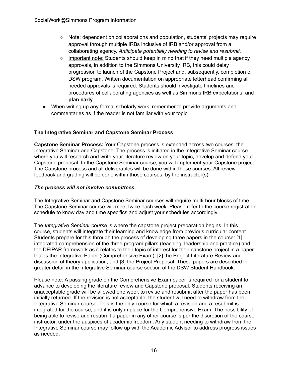- Note: dependent on collaborations and population, students' projects may require approval through multiple IRBs inclusive of IRB and/or approval from a  collaborating agency. *Anticipate potentially needing to revise and resubmit.*
- Important note: Students should keep in mind that if they need multiple agency approvals, in addition to the Simmons University IRB, this could delay progression to launch of the Capstone Project and, subsequently, completion of DSW program. Written documentation on appropriate letterhead confirming all needed approvals is required. Students should investigate timelines and procedures of collaborating agencies as well as Simmons IRB expectations, and **plan early**.
- ● When writing up any formal scholarly work, remember to provide arguments and commentaries as if the reader is not familiar with your topic.

# <span id="page-18-0"></span> **The Integrative Seminar and Capstone Seminar Process**

 **Capstone Seminar Process:** Your Capstone process is extended across two courses; the Integrative Seminar and Capstone. The process is initiated in the Integrative Seminar course where you will research and write your literature review on your topic, develop and defend your Capstone proposal. In the Capstone Seminar course, you will implement your Capstone project. The Capstone process and all deliverables will be done within these courses. All review, feedback and grading will be done within those courses, by the instructor(s).

# *The process will not involve committees.*

 The Integrative Seminar and Capstone Seminar courses will require multi-hour blocks of time. The Capstone Seminar course will meet twice each week. Please refer to the course registration schedule to know day and time specifics and adjust your schedules accordingly.

 The *Integrative Seminar course* is where the capstone project preparation begins. In this course, students will integrate their learning and knowledge from previous curricular content. Students prepare for this through the process of developing three papers in the course: [1] integrated comprehension of the three program pillars (teaching, leadership and practice) and the DEIPAR framework as it relates to their topic of interest for their capstone project in a paper that is the Integrative Paper (Comprehensive Exam), [2] the Project Literature Review and discussion of theory application, and [3] the Project Proposal. These papers are described in greater detail in the Integrative Seminar course section of the DSW Student Handbook.

Please note: A passing grade on the Comprehensive Exam paper is required for a student to advance to developing the literature review and Capstone proposal. Students receiving an unacceptable grade will be allowed one week to revise and resubmit after the paper has been initially returned. If the revision is not acceptable, the student will need to withdraw from the Integrative Seminar course. This is the only course for which a revision and a resubmit is integrated for the course, and it is only in place for the Comprehensive Exam. The possibility of being able to revise and resubmit a paper in any other course is per the discretion of the course instructor, under the auspices of academic freedom. Any student needing to withdraw from the Integrative Seminar course may follow up with the Academic Advisor to address progress issues as needed.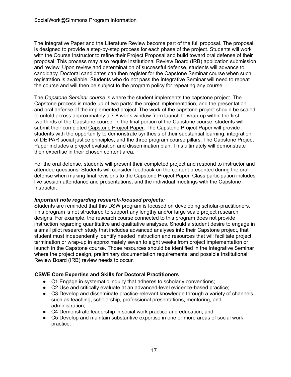The Integrative Paper and the Literature Review become part of the full proposal. The proposal is designed to provide a step-by-step process for each phase of the project. Students will work with the Course Instructor to refine their Project Proposal and build toward oral defense of their proposal. This process may also require Institutional Review Board (IRB) application submission and review. Upon review and determination of successful defense, students will advance to candidacy. Doctoral candidates can then register for the Capstone Seminar course when such registration is available. Students who do not pass the Integrative Seminar will need to repeat the course and will then be subject to the program policy for repeating any course.

 The *Capstone Seminar course* is where the student implements the capstone project. The Capstone process is made up of two parts: the project implementation, and the presentation and oral defense of the implemented project. The work of the capstone project should be scaled to unfold across approximately a 7-8 week window from launch to wrap-up within the first two-thirds of the Capstone course. In the final portion of the Capstone course, students will submit their completed Capstone Project Paper. The Capstone Project Paper will provide students with the opportunity to demonstrate synthesis of their substantial learning, integration of DEIPAR social justice principles, and the three program course pillars. The Capstone Project Paper includes a project evaluation and dissemination plan. This ultimately will demonstrate their expertise in their chosen content area.

 For the oral defense, students will present their completed project and respond to instructor and attendee questions. Students will consider feedback on the content presented during the oral defense when making final revisions to the Capstone Project Paper. Class participation includes live session attendance and presentations, and the individual meetings with the Capstone Instructor.

#### *Important note regarding research-focused projects:*

 Students are reminded that this DSW program is focused on developing scholar-practitioners. This program is not structured to support any lengthy and/or large scale project research designs. For example, the research course connected to this program does not provide instruction regarding quantitative and qualitative analyses. Should a student desire to engage in a small pilot research study that includes advanced analyses into their Capstone project, that student must independently identify needed instruction and resources that will facilitate project termination or wrap-up in approximately seven to eight weeks from project implementation or launch in the Capstone course. Those resources should be identified in the Integrative Seminar where the project design, preliminary documentation requirements, and possible Institutional Review Board (IRB) review needs to occur.

# **CSWE Core Expertise and Skills for Doctoral Practitioners**

- C1 Engage in systematic inquiry that adheres to scholarly conventions;
- C2 Use and critically evaluate at an advanced-level evidence-based practice;
- ● C3 Develop and disseminate practice-relevant knowledge through a variety of channels, such as teaching, scholarship, professional presentations, mentoring, and administration;
- C4 Demonstrate leadership in social work practice and education; and
- ● C5 Develop and maintain substantive expertise in one or more areas of social work practice.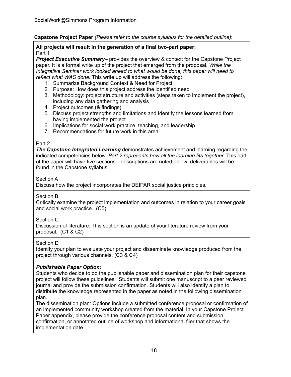# **Capstone Project Paper** *(Please refer to the course syllabus for the detailed outline)***:**

#### **All projects will result in the generation of a final two-part paper:** Part 1

**Project Executive Summary**– provides the overview & context for the Capstone Project paper. It is a formal write up of the project that emerged from the proposal. *While the Integrative Seminar work looked ahead to what would be done, this paper will need to reflect what WAS done.* This write up will address the following:

- 1. Summarize Background Context & Need for Project
- 2. Purpose: How does this project address the identified need
- 3. Methodology: project structure and activities (steps taken to implement the project), including any data gathering and analysis
- 4. Project outcomes (& findings)
- 5. Discuss project strengths and limitations and Identify the lessons learned from having implemented the project
- 6. Implications for social work practice, teaching, and leadership
- 7. Recommendations for future work in this area

# Part 2

**The Capstone Integrated Learning** demonstrates achievement and learning regarding the  indicated competencies below. *Part 2 represents how all the learning fits together.* This part of the paper will have five sections—descriptions are noted below; deliverables will be found in the Capstone syllabus.

# Section A

Discuss how the project incorporates the DEIPAR social justice principles.

# Section B

 Critically examine the project implementation and outcomes in relation to your career goals and social work practice. (C5)

#### Section C

 Discussion of literature: This section is an update of your literature review from your proposal. (C1 & C2)

# Section D

 Identify your plan to evaluate your project and disseminate knowledge produced from the project through various channels. (C3 & C4)

# *Publishable Paper Option:*

 Students who decide to do the publishable paper and dissemination plan for their capstone project will follow these guidelines: Students will submit one manuscript to a peer reviewed journal and provide the submission confirmation. Students will also identify a plan to distribute the knowledge represented in the paper as noted in the following dissemination plan.

 The dissemination plan: Options include a submitted conference proposal or confirmation of an implemented community workshop created from the material. In your Capstone Project Paper appendix, please provide the conference proposal content and submission confirmation, or annotated outline of workshop and informational flier that shows the implementation date.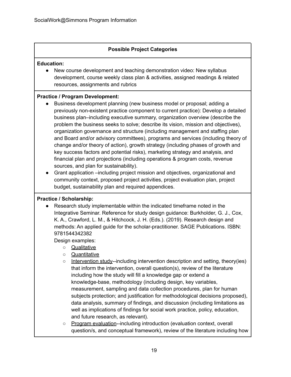# **Possible Project Categories**

# **Education:**

 ● New course development and teaching demonstration video: New syllabus development, course weekly class plan & activities, assigned readings & related resources, assignments and rubrics

# **Practice / Program Development:**

- ● Business development planning (new business model or proposal; adding a previously non-existent practice component to current practice): Develop a detailed business plan–including executive summary, organization overview (describe the problem the business seeks to solve; describe its vision, mission and objectives), organization governance and structure (including management and staffing plan and Board and/or advisory committees), programs and services (including theory of change and/or theory of action), growth strategy (including phases of growth and key success factors and potential risks), marketing strategy and analysis, and financial plan and projections (including operations & program costs, revenue sources, and plan for sustainability).
- ● Grant application –including project mission and objectives, organizational and community context, proposed project activities, project evaluation plan, project budget, sustainability plan and required appendices.

# **Practice / Scholarship:**

 ● Research study implementable within the indicated timeframe noted in the Integrative Seminar. Reference for study design guidance: Burkholder, G. J., Cox, K. A., Crawford, L. M., & Hitchcock, J. H. (Eds.). (2019). Research design and methods: An applied guide for the scholar-practitioner. SAGE Publications. ISBN: 9781544342382

Design examples:

- Qualitative
- Quantitative
- Intervention study--including intervention description and setting, theory(ies) that inform the intervention, overall question(s), review of the literature including how the study will fill a knowledge gap or extend a knowledge-base, methodology (including design, key variables, measurement, sampling and data collection procedures, plan for human subjects protection; and justification for methodological decisions proposed), data analysis, summary of findings, and discussion (including limitations as well as implications of findings for social work practice, policy, education, and future research, as relevant).
- question/s, and conceptual framework), review of the literature including how o Program evaluation--including introduction (evaluation context, overall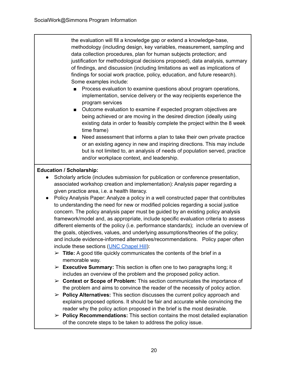the evaluation will fill a knowledge gap or extend a knowledge-base, methodology (including design, key variables, measurement, sampling and data collection procedures, plan for human subjects protection; and justification for methodological decisions proposed), data analysis, summary of findings, and discussion (including limitations as well as implications of findings for social work practice, policy, education, and future research). Some examples include:

- Process evaluation to examine questions about program operations, implementation, service delivery or the way recipients experience the program services
- Outcome evaluation to examine if expected program objectives are being achieved or are moving in the desired direction (ideally using existing data in order to feasibly complete the project within the 8 week time frame)
- Need assessment that informs a plan to take their own private practice or an existing agency in new and inspiring directions. This may include but is not limited to, an analysis of needs of population served, practice and/or workplace context, and leadership.

# **Education / Scholarship:**

- ● Scholarly article (includes submission for publication or conference presentation, associated workshop creation and implementation): Analysis paper regarding a given practice area, i.e. a health literacy.
- ● Policy Analysis Paper: Analyze a policy in a well constructed paper that contributes to understanding the need for new or modified policies regarding a social justice concern. The policy analysis paper must be guided by an existing policy analysis framework/model and, as appropriate, include specific evaluation criteria to assess different elements of the policy (i.e. performance standards); include an overview of the goals, objectives, values, and underlying assumptions/theories of the policy; and include evidence-informed alternatives/recommendations. Policy paper often include these sections (UNC [Chapel](https://writingcenter.unc.edu/tips-and-tools/policy-briefs) Hill):
	- ➢ **Title:** A good title quickly communicates the contents of the brief in a memorable way.
	- ➢ **Executive Summary:** This section is often one to two paragraphs long; it includes an overview of the problem and the proposed policy action.
	- ➢ **Context or Scope of Problem:** This section communicates the importance of the problem and aims to convince the reader of the necessity of policy action.
	- ➢ **Policy Alternatives:** This section discusses the current policy approach and explains proposed options. It should be fair and accurate while convincing the reader why the policy action proposed in the brief is the most desirable.
	- ➢ **Policy Recommendations:** This section contains the most detailed explanation of the concrete steps to be taken to address the policy issue.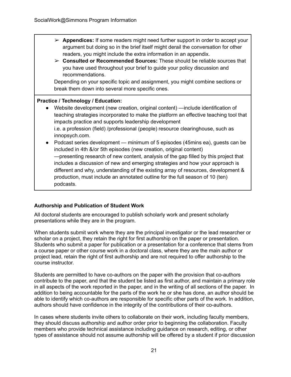- ➢ **Appendices:** If some readers might need further support in order to accept your argument but doing so in the brief itself might derail the conversation for other readers, you might include the extra information in an appendix.
- ➢ **Consulted or Recommended Sources:** These should be reliable sources that you have used throughout your brief to guide your policy discussion and recommendations.

 Depending on your specific topic and assignment, you might combine sections or break them down into several more specific ones.

# **Practice / Technology / Education:**

- ● Website development (new creation, original content) —include identification of teaching strategies incorporated to make the platform an effective teaching tool that impacts practice and supports leadership development i.e. a profession (field) /professional (people) resource clearinghouse, such as innopsych.com.
- ● Podcast series development minimum of 5 episodes (45mins ea), guests can be included in 4th &/or 5th episodes (new creation, original content) —presenting research of new content, analysis of the gap filled by this project that includes a discussion of new and emerging strategies and how your approach is different and why, understanding of the existing array of resources, development & production, must include an annotated outline for the full season of 10 (ten) podcasts.

# <span id="page-23-0"></span> **Authorship and Publication of Student Work**

 All doctoral students are encouraged to publish scholarly work and present scholarly presentations while they are in the program.

 When students submit work where they are the principal investigator or the lead researcher or scholar on a project, they retain the right for first authorship on the paper or presentation. Students who submit a paper for publication or a presentation for a conference that stems from a course paper or other course work in a doctoral class, where they are the main author or project lead, retain the right of first authorship and are not required to offer authorship to the course instructor.

 Students are permitted to have co-authors on the paper with the provision that co-authors contribute to the paper, and that the student be listed as first author, and maintain a primary role in all aspects of the work reported in the paper, and in the writing of all sections of the paper. In addition to being accountable for the parts of the work he or she has done, an author should be able to identify which co-authors are responsible for specific other parts of the work. In addition, authors should have confidence in the integrity of the contributions of their co-authors.

 In cases where students invite others to collaborate on their work, including faculty members, they should discuss authorship and author order prior to beginning the collaboration. Faculty members who provide technical assistance including guidance on research, editing, or other types of assistance should not assume authorship will be offered by a student if prior discussion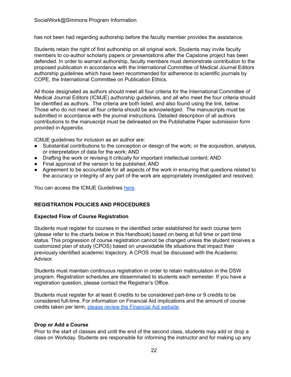has not been had regarding authorship before the faculty member provides the assistance.

 Students retain the right of first authorship on all original work. Students may invite faculty members to co-author scholarly papers or presentations after the Capstone project has been defended. In order to warrant authorship, faculty members must demonstrate contribution to the proposed publication in accordance with the International Committee of Medical Journal Editors authorship guidelines which have been recommended for adherence to scientific journals by COPE, the International Committee on Publication Ethics.

 All those designated as authors should meet all four criteria for the International Committee of Medical Journal Editors (ICMJE) authorship guidelines, and all who meet the four criteria should be identified as authors. The criteria are both listed, and also found using the link, below. Those who do not meet all four criteria should be acknowledged. The manuscripts must be submitted in accordance with the journal instructions. Detailed description of all authors contributions to the manuscript must be delineated on the Publishable Paper submission form provided in Appendix.

ICMJE guidelines for inclusion as an author are:

- ● Substantial contributions to the conception or design of the work; or the acquisition, analysis, or interpretation of data for the work; AND
- Drafting the work or revising it critically for important intellectual content; AND
- Final approval of the version to be published; AND
- ● Agreement to be accountable for all aspects of the work in ensuring that questions related to the accuracy or integrity of any part of the work are appropriately investigated and resolved.

You can access the ICMJE Guidelines [here](http://www.icmje.org/recommendations/browse/roles-and-responsibilities/defining-the-role-of-authors-and-contributors.html).

# <span id="page-24-0"></span> **REGISTRATION POLICIES AND PROCEDURES**

#### <span id="page-24-1"></span> **Expected Flow of Course Registration**

 Students must register for courses in the identified order established for each course term (please refer to the charts below in this Handbook) based on being at full time or part time status. This progression of course registration cannot be changed unless the student receives a customized plan of study (CPOS) based on unavoidable life situations that impact their previously identified academic trajectory. A CPOS must be discussed with the Academic Advisor.

 Students must maintain continuous registration in order to retain matriculation in the DSW program. Registration schedules are disseminated to students each semester. If you have a registration question, please contact the Registrar's Office.

 Students must register for at least 6 credits to be considered part-time or 9 credits to be considered full-time. For information on Financial Aid implications and the amount of course credits taken per term, please review the [Financial](https://www.simmons.edu/graduate/tuition-and-financial-aid/online-students) Aid website.

#### <span id="page-24-2"></span> **Drop or Add a Course**

 Prior to the start of classes and until the end of the second class, students may add or drop a class on Workday. Students are responsible for informing the instructor and for making up any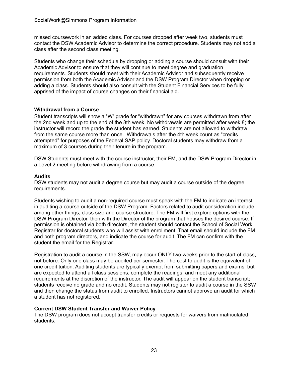missed coursework in an added class. For courses dropped after week two, students must contact the DSW Academic Advisor to determine the correct procedure. Students may not add a class after the second class meeting.

 Students who change their schedule by dropping or adding a course should consult with their Academic Advisor to ensure that they will continue to meet degree and graduation requirements. Students should meet with their Academic Advisor and subsequently receive permission from both the Academic Advisor and the DSW Program Director when dropping or adding a class. Students should also consult with the Student Financial Services to be fully apprised of the impact of course changes on their financial aid.

# **Withdrawal from a Course**

 Student transcripts will show a "W" grade for "withdrawn" for any courses withdrawn from after the 2nd week and up to the end of the 8th week. No withdrawals are permitted after week 8; the instructor will record the grade the student has earned. Students are not allowed to withdraw from the same course more than once. Withdrawals after the 4th week count as "credits attempted" for purposes of the Federal SAP policy. Doctoral students may withdraw from a maximum of 3 courses during their tenure in the program.

 DSW Students must meet with the course instructor, their FM, and the DSW Program Director in a Level 2 meeting before withdrawing from a course.

# <span id="page-25-0"></span>**Audits**

 DSW students may not audit a degree course but may audit a course outside of the degree requirements.

 Students wishing to audit a non-required course must speak with the FM to indicate an interest in auditing a course outside of the DSW Program. Factors related to audit consideration include among other things, class size and course structure. The FM will first explore options with the DSW Program Director, then with the Director of the program that houses the desired course. If permission is obtained via both directors, the student should contact the School of Social Work Registrar for doctoral students who will assist with enrollment. That email should include the FM and both program directors, and indicate the course for audit. The FM can confirm with the student the email for the Registrar.

 Registration to audit a course in the SSW, may occur ONLY two weeks prior to the start of class, not before. Only one class may be audited per semester. The cost to audit is the equivalent of one credit tuition. Auditing students are typically exempt from submitting papers and exams, but are expected to attend all class sessions, complete the readings, and meet any additional requirements at the discretion of the instructor. The audit will appear on the student transcript; students receive no grade and no credit. Students may not register to audit a course in the SSW and then change the status from audit to enrolled. Instructors cannot approve an audit for which a student has not registered.

#### <span id="page-25-1"></span> **Current DSW Student Transfer and Waiver Policy**

 The DSW program does not accept transfer credits or requests for waivers from matriculated students.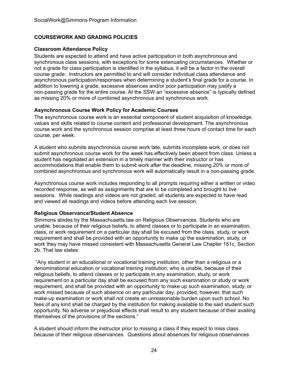# <span id="page-26-0"></span> **COURSEWORK AND GRADING POLICIES**

#### <span id="page-26-1"></span>**Classroom Attendance Policy**

 Students are expected to attend and have active participation in both asynchronous and synchronous class sessions, with exceptions for some extenuating circumstances. Whether or not a grade for class participation is identified in the syllabus, it will be a factor in the overall course grade. Instructors are permitted to and will consider individual class attendance and asynchronous participation/responses when determining a student's final grade for a course. In addition to lowering a grade, excessive absences and/or poor participation may justify a non-passing grade for the entire course. At the SSW an "excessive absence" is typically defined as missing 20% or more of combined asynchronous and synchronous work.

#### <span id="page-26-2"></span> **Asynchronous Course Work Policy for Academic Courses**

 The asynchronous course work is an essential component of student acquisition of knowledge, values and skills related to course content and professional development. The asynchronous course work and the synchronous session comprise at least three hours of contact time for each course, per week.

 A student who submits asynchronous course work late, submits incomplete work, or does not submit asynchronous course work for the week has effectively been absent from class. Unless a student has negotiated an extension in a timely manner with their instructor or has accommodations that enable them to submit work after the deadline, missing 20% or more of combined asynchronous and synchronous work will automatically result in a non-passing grade.

 Asynchronous course work includes responding to all prompts requiring either a written or video recorded response, as well as assignments that are to be completed and brought to live sessions. While readings and videos are not graded, all students are expected to have read and viewed all readings and videos before attending each live session.

#### <span id="page-26-3"></span>**Religious Observance/Student Absence**

 Simmons abides by the Massachusetts law on Religious Observances. Students who are unable, because of their religious beliefs, to attend classes or to participate in an examination, class, or work requirement on a particular day shall be excused from the class, study, or work requirement and shall be provided with an opportunity to make up the examination, study, or work they may have missed consistent with Massachusetts General Law Chapter 151c, Section 2b. That law states:

 "Any student in an educational or vocational training institution, other than a religious or a denominational education or vocational training institution, who is unable, because of their religious beliefs, to attend classes or to participate in any examination, study, or work requirement on a particular day shall be excused from any such examination or study or work requirement, and shall be provided with an opportunity to make up such examination, study, or work missed because of such absence on any particular day; provided, however, that such make-up examination or work shall not create an unreasonable burden upon such school. No fees of any kind shall be charged by the institution for making available to the said student such opportunity. No adverse or prejudicial effects shall result to any student because of their availing themselves of the provisions of the sections."

 A student should inform the instructor prior to missing a class if they expect to miss class because of their religious observances. Questions about absences for religious observances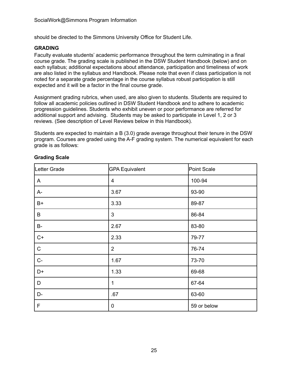should be directed to the Simmons University Office for Student Life.

#### <span id="page-27-0"></span>**GRADING**

 Faculty evaluate students' academic performance throughout the term culminating in a final course grade. The grading scale is published in the DSW Student Handbook (below) and on each syllabus; additional expectations about attendance, participation and timeliness of work are also listed in the syllabus and Handbook. Please note that even if class participation is not noted for a separate grade percentage in the course syllabus robust participation is still expected and it will be a factor in the final course grade.

 Assignment grading rubrics, when used, are also given to students. Students are required to follow all academic policies outlined in DSW Student Handbook and to adhere to academic progression guidelines. Students who exhibit uneven or poor performance are referred for additional support and advising. Students may be asked to participate in Level 1, 2 or 3 reviews. (See description of Level Reviews below in this Handbook).

 Students are expected to maintain a B (3.0) grade average throughout their tenure in the DSW program. Courses are graded using the A-F grading system. The numerical equivalent for each grade is as follows:

| Letter Grade | <b>GPA Equivalent</b>   | Point Scale |
|--------------|-------------------------|-------------|
| A            | $\overline{\mathbf{4}}$ | 100-94      |
| A-           | 3.67                    | 93-90       |
| $B+$         | 3.33                    | 89-87       |
| B            | 3                       | 86-84       |
| <b>B-</b>    | 2.67                    | 83-80       |
| $C+$         | 2.33                    | 79-77       |
| $\mathsf C$  | $\overline{2}$          | 76-74       |
| $C-$         | 1.67                    | 73-70       |
| $D+$         | 1.33                    | 69-68       |
| D            | 1                       | 67-64       |
| D-           | .67                     | 63-60       |
| F            | $\boldsymbol{0}$        | 59 or below |

#### <span id="page-27-1"></span>**Grading Scale**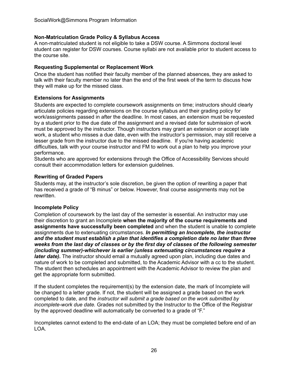# <span id="page-28-0"></span> **Non-Matriculation Grade Policy & Syllabus Access**

 A non-matriculated student is not eligible to take a DSW course. A Simmons doctoral level student can register for DSW courses. Course syllabi are not available prior to student access to the course site.

#### <span id="page-28-1"></span> **Requesting Supplemental or Replacement Work**

 Once the student has notified their faculty member of the planned absences, they are asked to talk with their faculty member no later than the end of the first week of the term to discuss how they will make up for the missed class.

# <span id="page-28-2"></span> **Extensions for Assignments**

 Students are expected to complete coursework assignments on time; instructors should clearly articulate policies regarding extensions on the course syllabus and their grading policy for work/assignments passed in after the deadline. In most cases, an extension must be requested by a student prior to the due date of the assignment and a revised date for submission of work must be approved by the instructor. Though instructors may grant an extension or accept late work, a student who misses a due date, even with the instructor's permission, may still receive a lesser grade from the instructor due to the missed deadline. If you're having academic difficulties, talk with your course instructor and FM to work out a plan to help you improve your performance.

 Students who are approved for extensions through the Office of Accessibility Services should consult their accommodation letters for extension guidelines.

# <span id="page-28-3"></span> **Rewriting of Graded Papers**

 Students may, at the instructor's sole discretion, be given the option of rewriting a paper that has received a grade of "B minus" or below. However, final course assignments may not be rewritten.

#### <span id="page-28-4"></span>**Incomplete Policy**

 Completion of coursework by the last day of the semester is essential. An instructor may use their discretion to grant an Incomplete **when the majority of the course requirements and assignments have successfully been completed** and when the student is unable to complete assignments due to extenuating circumstances. *In permitting an Incomplete, the instructor and the student must establish a plan that identifies a completion date no later than three* weeks from the last day of classes or by the first day of classes of the following semester  *(including summer)-whichever is earlier (unless extenuating circumstances require a later date).* The instructor should email a mutually agreed upon plan, including due dates and nature of work to be completed and submitted, to the Academic Advisor with a cc to the student. The student then schedules an appointment with the Academic Advisor to review the plan and get the appropriate form submitted.

 If the student completes the requirement(s) by the extension date, the mark of Incomplete will be changed to a letter grade. If not, the student will be assigned a grade based on the work completed to date, and the *instructor will submit a grade based on the work submitted by incomplete-work due date.* Grades not submitted by the Instructor to the Office of the Registrar by the approved deadline will automatically be converted to a grade of "F."

 Incompletes cannot extend to the end-date of an LOA; they must be completed before end of an LOA.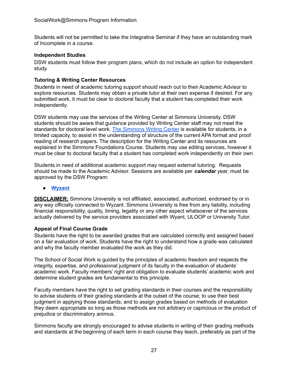Students will not be permitted to take the Integrative Seminar if they have an outstanding mark of Incomplete in a course.

#### <span id="page-29-0"></span>**Independent Studies**

 DSW students must follow their program plans, which do not include an option for independent study.

# <span id="page-29-1"></span> **Tutoring & Writing Center Resources**

 Students in need of academic tutoring support should reach out to their Academic Advisor to explore resources. Students may obtain a private tutor at their own expense if desired. For any submitted work, it must be clear to doctoral faculty that a student has completed their work independently.

 DSW students may use the services of the Writing Center at Simmons University. DSW students should be aware that guidance provided by Writing Center staff may not meet the standards for doctoral level work. The [Simmons](https://www.simmons.edu/your-simmons/student-support-resources/writing-support) Writing Center is available for students, in a limited capacity, to assist in the understanding of structure of the current APA format and proof reading of research papers. The description for the Writing Center and its resources are explained in the Simmons Foundations Course. Students may use editing services, however it must be clear to doctoral faculty that a student has completed work independently on their own.

 Students in need of additional academic support may request external tutoring. Requests should be made to the Academic Advisor. Sessions are available per *calendar* year, must be approved by the DSW Program:

**● [Wyzant](http://www.wyzant.com)**

 **DISCLAIMER:** Simmons University is not affiliated, associated, authorized, endorsed by or in any way officially connected to Wyzant. Simmons University is free from any liability, including financial responsibility, quality, timing, legality or any other aspect whatsoever of the services actually delivered by the service providers associated with Wyant, ULOOP or University Tutor.

#### <span id="page-29-2"></span> **Appeal of Final Course Grade**

 Students have the right to be awarded grades that are calculated correctly and assigned based on a fair evaluation of work. Students have the right to understand how a grade was calculated and why the faculty member evaluated the work as they did.

 The School of Social Work is guided by the principles of academic freedom and respects the integrity, expertise, and professional judgment of its faculty in the evaluation of students' academic work. Faculty members' right and obligation to evaluate students' academic work and determine student grades are fundamental to this principle.

 Faculty members have the right to set grading standards in their courses and the responsibility to advise students of their grading standards at the outset of the course; to use their best judgment in applying those standards; and to assign grades based on methods of evaluation they deem appropriate so long as those methods are not arbitrary or capricious or the product of prejudice or discriminatory animus.

 Simmons faculty are strongly encouraged to advise students in writing of their grading methods and standards at the beginning of each term in each course they teach, preferably as part of the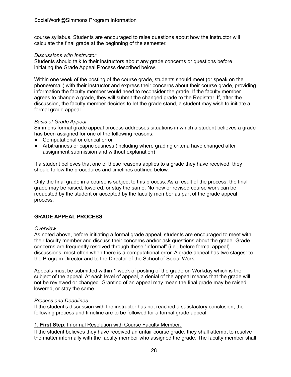course syllabus. Students are encouraged to raise questions about how the instructor will calculate the final grade at the beginning of the semester.

#### *Discussions with Instructor*

 Students should talk to their instructors about any grade concerns or questions before initiating the Grade Appeal Process described below.

 Within one week of the posting of the course grade, students should meet (or speak on the phone/email) with their instructor and express their concerns about their course grade, providing information the faculty member would need to reconsider the grade. If the faculty member agrees to change a grade, they will submit the changed grade to the Registrar. If, after the discussion, the faculty member decides to let the grade stand, a student may wish to initiate a formal grade appeal.

#### *Basis of Grade Appeal*

 Simmons formal grade appeal process addresses situations in which a student believes a grade has been assigned for one of the following reasons:

- Computational or clerical error
- ● Arbitrariness or capriciousness (including where grading criteria have changed after assignment submission and without explanation)

 If a student believes that one of these reasons applies to a grade they have received, they should follow the procedures and timelines outlined below.

 Only the final grade in a course is subject to this process. As a result of the process, the final grade may be raised, lowered, or stay the same. No new or revised course work can be requested by the student or accepted by the faculty member as part of the grade appeal process.

# <span id="page-30-0"></span> **GRADE APPEAL PROCESS**

#### *Overview*

 As noted above, before initiating a formal grade appeal, students are encouraged to meet with their faculty member and discuss their concerns and/or ask questions about the grade. Grade concerns are frequently resolved through these "informal" (i.e., before formal appeal) discussions, most often when there is a computational error. A grade appeal has two stages: to the Program Director and to the Director of the School of Social Work.

 Appeals must be submitted within 1 week of posting of the grade on Workday which is the subject of the appeal. At each level of appeal, a denial of the appeal means that the grade will not be reviewed or changed. Granting of an appeal may mean the final grade may be raised, lowered, or stay the same.

# *Process and Deadlines*

 If the student's discussion with the instructor has not reached a satisfactory conclusion, the following process and timeline are to be followed for a formal grade appeal:

#### 1. **First Step**: Informal Resolution with Course Faculty Member.

 If the student believes they have received an unfair course grade, they shall attempt to resolve the matter informally with the faculty member who assigned the grade. The faculty member shall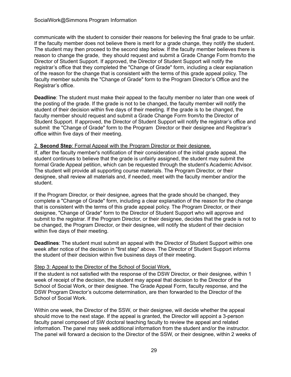communicate with the student to consider their reasons for believing the final grade to be unfair. If the faculty member does not believe there is merit for a grade change, they notify the student. The student may then proceed to the second step below. If the faculty member believes there is reason to change the grade, they should request and submit a Grade Change Form from/to the Director of Student Support. If approved, the Director of Student Support will notify the registrar's office that they completed the "Change of Grade" form, including a clear explanation of the reason for the change that is consistent with the terms of this grade appeal policy. The faculty member submits the "Change of Grade" form to the Program Director's Office and the Registrar's office.

 **Deadline**: The student must make their appeal to the faculty member no later than one week of the posting of the grade. If the grade is not to be changed, the faculty member will notify the student of their decision within five days of their meeting. If the grade is to be changed, the faculty member should request and submit a Grade Change Form from/to the Director of Student Support. If approved, the Director of Student Support will notify the registrar's office and submit the "Change of Grade" form to the Program Director or their designee and Registrar's office within five days of their meeting.

#### 2. **Second Step**: Formal Appeal with the Program Director or their designee.

 If, after the faculty member's notification of their consideration of the initial grade appeal, the student continues to believe that the grade is unfairly assigned, the student may submit the formal Grade Appeal petition, which can be requested through the student's Academic Advisor. The student will provide all supporting course materials. The Program Director, or their designee, shall review all materials and, if needed, meet with the faculty member and/or the student.

 If the Program Director, or their designee, agrees that the grade should be changed, they complete a "Change of Grade" form, including a clear explanation of the reason for the change that is consistent with the terms of this grade appeal policy. The Program Director, or their designee, "Change of Grade" form to the Director of Student Support who will approve and submit to the registrar. If the Program Director, or their designee, decides that the grade is not to be changed, the Program Director, or their designee, will notify the student of their decision within five days of their meeting.

 **Deadlines**: The student must submit an appeal with the Director of Student Support within one week after notice of the decision in "first step" above. The Director of Student Support informs the student of their decision within five business days of their meeting.

#### Step 3: Appeal to the Director of the School of Social Work.

 If the student is not satisfied with the response of the DSW Director, or their designee, within 1 week of receipt of the decision, the student may appeal that decision to the Director of the School of Social Work, or their designee. The Grade Appeal Form, faculty response, and the DSW Program Director's outcome determination, are then forwarded to the Director of the School of Social Work.

 Within one week, the Director of the SSW, or their designee, will decide whether the appeal should move to the next stage. If the appeal is granted, the Director will appoint a 3-person faculty panel composed of SW doctoral teaching faculty to review the appeal and related information. The panel may seek additional information from the student and/or the instructor. The panel will forward a decision to the Director of the SSW, or their designee, within 2 weeks of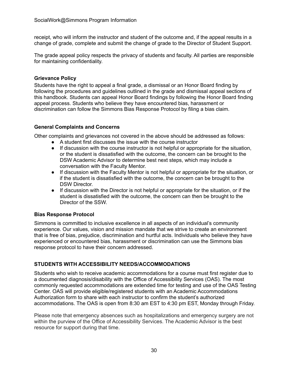receipt, who will inform the instructor and student of the outcome and, if the appeal results in a change of grade, complete and submit the change of grade to the Director of Student Support.

 The grade appeal policy respects the privacy of students and faculty. All parties are responsible for maintaining confidentiality.

# <span id="page-32-0"></span>**Grievance Policy**

 Students have the right to appeal a final grade, a dismissal or an Honor Board finding by following the procedures and guidelines outlined in the grade and dismissal appeal sections of this handbook. Students can appeal Honor Board findings by following the Honor Board finding appeal process. Students who believe they have encountered bias, harassment or discrimination can follow the Simmons Bias Response Protocol by filing a bias claim.

# <span id="page-32-1"></span> **General Complaints and Concerns**

Other complaints and grievances not covered in the above should be addressed as follows:

- A student first discusses the issue with the course instructor
- ● If discussion with the course instructor is not helpful or appropriate for the situation, or the student is dissatisfied with the outcome, the concern can be brought to the DSW Academic Advisor to determine best next steps, which may include a conversation with the Faculty Mentor.
- ● If discussion with the Faculty Mentor is not helpful or appropriate for the situation, or if the student is dissatisfied with the outcome, the concern can be brought to the DSW Director.
- ● If discussion with the Director is not helpful or appropriate for the situation, or if the student is dissatisfied with the outcome, the concern can then be brought to the Director of the SSW.

#### **Bias Response Protocol**

 Simmons is committed to inclusive excellence in all aspects of an individual's community experience. Our values, vision and mission mandate that we strive to create an environment that is free of bias, prejudice, discrimination and hurtful acts. Individuals who believe they have experienced or encountered bias, harassment or discrimination can use the Simmons bias response protocol to have their concern addressed.

# <span id="page-32-2"></span> **STUDENTS WITH ACCESSIBILITY NEEDS/ACCOMMODATIONS**

 Students who wish to receive academic accommodations for a course must first register due to a documented diagnosis/disability with the Office of Accessibility Services (OAS). The most commonly requested accommodations are extended time for testing and use of the OAS Testing Center. OAS will provide eligible/registered students with an Academic Accommodations Authorization form to share with each instructor to confirm the student's authorized accommodations. The OAS is open from 8:30 am EST to 4:30 pm EST, Monday through Friday.

 Please note that emergency absences such as hospitalizations and emergency surgery are not within the purview of the Office of Accessibility Services. The Academic Advisor is the best resource for support during that time.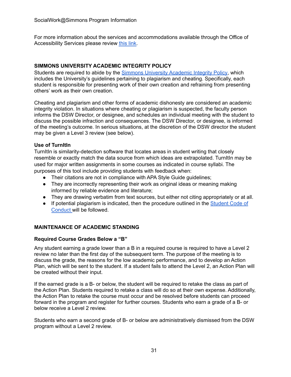For more information about the services and accommodations available through the Office of Accessibility Services please review [this](https://www.simmons.edu/your-simmons/student-support-resources/accessibility-services) link.

# <span id="page-33-0"></span>**SIMMONS UNIVERSITY ACADEMIC INTEGRITY POLICY**

Students are required to abide by the **Simmons [University](https://internal.simmons.edu/students/academics/academic-integrity#:~:text=A%20commitment%20to%20Academic%20Integrity,International%20Center%20of%20Academic%20Integrity).) Academic Integrity Policy**, which includes the University's guidelines pertaining to plagiarism and cheating. Specifically, each student is responsible for presenting work of their own creation and refraining from presenting others' work as their own creation.

 Cheating and plagiarism and other forms of academic dishonesty are considered an academic integrity violation. In situations where cheating or plagiarism is suspected, the faculty person informs the DSW Director, or designee, and schedules an individual meeting with the student to discuss the possible infraction and consequences. The DSW Director, or designee, is informed of the meeting's outcome. In serious situations, at the discretion of the DSW director the student may be given a Level 3 review (see below).

# **Use of TurnItIn**

 TurnItIn is similarity-detection software that locates areas in student writing that closely resemble or exactly match the data source from which ideas are extrapolated. TurnItIn may be used for major written assignments in some courses as indicated in course syllabi. The purposes of this tool include providing students with feedback when:

- Their citations are not in compliance with APA Style Guide guidelines;
- ● They are incorrectly representing their work as original ideas or meaning making informed by reliable evidence and literature;
- They are drawing verbatim from text sources, but either not citing appropriately or at all.
- If potential plagiarism is indicated, then the procedure outlined in the **[Student](http://www.simmons.edu/code-of-conduct) Code of** [Conduct](http://www.simmons.edu/code-of-conduct) will be followed.

# <span id="page-33-1"></span> **MAINTENANCE OF ACADEMIC STANDING**

# <span id="page-33-2"></span> **Required Course Grades Below a "B"**

 Any student earning a grade lower than a B in a required course is required to have a Level 2 review no later than the first day of the subsequent term. The purpose of the meeting is to discuss the grade, the reasons for the low academic performance, and to develop an Action Plan, which will be sent to the student. If a student fails to attend the Level 2, an Action Plan will be created without their input.

 If the earned grade is a B- or below, the student will be required to retake the class as part of the Action Plan. Students required to retake a class will do so at their own expense. Additionally, the Action Plan to retake the course must occur and be resolved before students can proceed forward in the program and register for further courses. Students who earn a grade of a B- or below receive a Level 2 review.

 Students who earn a second grade of B- or below are administratively dismissed from the DSW program without a Level 2 review.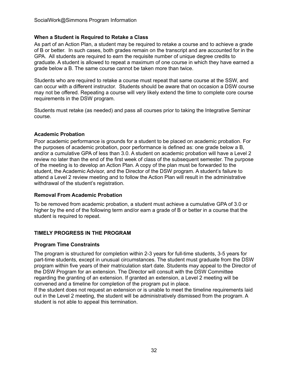# <span id="page-34-0"></span> **When a Student is Required to Retake a Class**

 As part of an Action Plan, a student may be required to retake a course and to achieve a grade of B or better. In such cases, both grades remain on the transcript and are accounted for in the GPA. All students are required to earn the requisite number of unique degree credits to graduate. A student is allowed to repeat a maximum of one course in which they have earned a grade below a B. The same course cannot be taken more than twice.

 Students who are required to retake a course must repeat that same course at the SSW, and can occur with a different instructor. Students should be aware that on occasion a DSW course may not be offered. Repeating a course will very likely extend the time to complete core course requirements in the DSW program.

 Students must retake (as needed) and pass all courses prior to taking the Integrative Seminar course.

#### <span id="page-34-1"></span>**Academic Probation**

 Poor academic performance is grounds for a student to be placed on academic probation. For the purposes of academic probation, poor performance is defined as: one grade below a B, and/or a cumulative GPA of less than 3.0. A student on academic probation will have a Level 2 review no later than the end of the first week of class of the subsequent semester. The purpose of the meeting is to develop an Action Plan. A copy of the plan must be forwarded to the student, the Academic Advisor, and the Director of the DSW program. A student's failure to attend a Level 2 review meeting and to follow the Action Plan will result in the administrative withdrawal of the student's registration.

#### <span id="page-34-2"></span> **Removal From Academic Probation**

 To be removed from academic probation, a student must achieve a cumulative GPA of 3.0 or higher by the end of the following term and/or earn a grade of B or better in a course that the student is required to repeat.

#### <span id="page-34-3"></span> **TIMELY PROGRESS IN THE PROGRAM**

#### <span id="page-34-4"></span> **Program Time Constraints**

 The program is structured for completion within 2-3 years for full-time students, 3-5 years for part-time students, except in unusual circumstances. The student must graduate from the DSW program within five years of their matriculation start date. Students may appeal to the Director of the DSW Program for an extension. The Director will consult with the DSW Committee regarding the granting of an extension. If granted an extension, a Level 2 meeting will be convened and a timeline for completion of the program put in place.

 If the student does not request an extension or is unable to meet the timeline requirements laid out in the Level 2 meeting, the student will be administratively dismissed from the program. A student is not able to appeal this termination.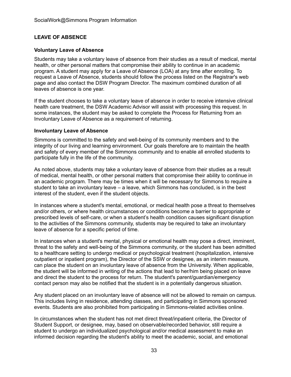# <span id="page-35-0"></span> **LEAVE OF ABSENCE**

#### <span id="page-35-1"></span> **Voluntary Leave of Absence**

 Students may take a voluntary leave of absence from their studies as a result of medical, mental health, or other personal matters that compromise their ability to continue in an academic program. A student may apply for a Leave of Absence (LOA) at any time after enrolling. To request a Leave of Absence, students should follow the process listed on the Registrar's web page and also contact the DSW Program Director. The maximum combined duration of all leaves of absence is one year.

 If the student chooses to take a voluntary leave of absence in order to receive intensive clinical health care treatment, the DSW Academic Advisor will assist with processing this request. In some instances, the student may be asked to complete the Process for Returning from an Involuntary Leave of Absence as a requirement of returning.

#### <span id="page-35-2"></span> **Involuntary Leave of Absence**

 Simmons is committed to the safety and well-being of its community members and to the integrity of our living and learning environment. Our goals therefore are to maintain the health and safety of every member of the Simmons community and to enable all enrolled students to participate fully in the life of the community.

 As noted above, students may take a voluntary leave of absence from their studies as a result of medical, mental health, or other personal matters that compromise their ability to continue in an academic program. There may be times when it will be necessary for Simmons to require a student to take an involuntary leave – a leave, which Simmons has concluded, is in the best interest of the student, even if the student objects.

 In instances where a student's mental, emotional, or medical health pose a threat to themselves and/or others, or where health circumstances or conditions become a barrier to appropriate or prescribed levels of self-care, or when a student's health condition causes significant disruption to the activities of the Simmons community, students may be required to take an involuntary leave of absence for a specific period of time.

 In instances when a student's mental, physical or emotional health may pose a direct, imminent, threat to the safety and well-being of the Simmons community, or the student has been admitted to a healthcare setting to undergo medical or psychological treatment (hospitalization, intensive outpatient or inpatient program), the Director of the SSW or designee, as an interim measure, can place the student on an involuntary leave of absence from the University. When applicable, the student will be informed in writing of the actions that lead to her/him being placed on leave and direct the student to the process for return. The student's parent/guardian/emergency contact person may also be notified that the student is in a potentially dangerous situation.

 Any student placed on an involuntary leave of absence will not be allowed to remain on campus. This includes living in residence, attending classes, and participating in Simmons sponsored events. Students are also prohibited from participating in Simmons-related activities online.

 In circumstances when the student has not met direct threat/inpatient criteria, the Director of Student Support, or designee, may, based on observable/recorded behavior, still require a student to undergo an individualized psychological and/or medical assessment to make an informed decision regarding the student's ability to meet the academic, social, and emotional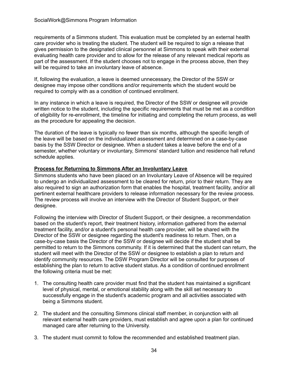requirements of a Simmons student. This evaluation must be completed by an external health care provider who is treating the student. The student will be required to sign a release that gives permission to the designated clinical personnel at Simmons to speak with their external evaluating health care provider and to allow for the release of any relevant medical reports as part of the assessment. If the student chooses not to engage in the process above, then they will be required to take an involuntary leave of absence.

 If, following the evaluation, a leave is deemed unnecessary, the Director of the SSW or designee may impose other conditions and/or requirements which the student would be required to comply with as a condition of continued enrollment.

 In any instance in which a leave is required, the Director of the SSW or designee will provide written notice to the student, including the specific requirements that must be met as a condition of eligibility for re-enrollment, the timeline for initiating and completing the return process, as well as the procedure for appealing the decision.

 The duration of the leave is typically no fewer than six months, although the specific length of the leave will be based on the individualized assessment and determined on a case-by-case basis by the SSW Director or designee. When a student takes a leave before the end of a semester, whether voluntary or involuntary, Simmons' standard tuition and residence hall refund schedule applies.

# <span id="page-36-0"></span> **Process for Returning to Simmons After an Involuntary Leave**

 Simmons students who have been placed on an Involuntary Leave of Absence will be required to undergo an individualized assessment to be cleared for return, prior to their return. They are also required to sign an authorization form that enables the hospital, treatment facility, and/or all pertinent external healthcare providers to release information necessary for the review process. The review process will involve an interview with the Director of Student Support, or their designee.

 Following the interview with Director of Student Support, or their designee, a recommendation based on the student's report, their treatment history, information gathered from the external treatment facility, and/or a student's personal health care provider, will be shared with the Director of the SSW or designee regarding the student's readiness to return. Then, on a case-by-case basis the Director of the SSW or designee will decide if the student shall be permitted to return to the Simmons community. If it is determined that the student can return, the student will meet with the Director of the SSW or designee to establish a plan to return and identify community resources. The DSW Program Director will be consulted for purposes of establishing the plan to return to active student status. As a condition of continued enrollment the following criteria must be met:

- 1. The consulting health care provider must find that the student has maintained a significant level of physical, mental, or emotional stability along with the skill set necessary to successfully engage in the student's academic program and all activities associated with being a Simmons student.
- 2. The student and the consulting Simmons clinical staff member, in conjunction with all relevant external health care providers, must establish and agree upon a plan for continued managed care after returning to the University.
- 3. The student must commit to follow the recommended and established treatment plan.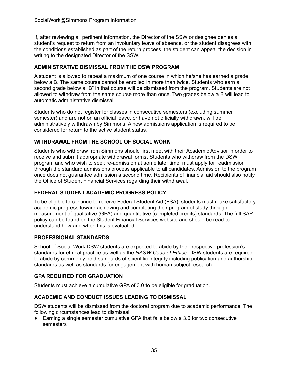If, after reviewing all pertinent information, the Director of the SSW or designee denies a student's request to return from an involuntary leave of absence, or the student disagrees with the conditions established as part of the return process, the student can appeal the decision in writing to the designated Director of the SSW.

# <span id="page-37-0"></span> **ADMINISTRATIVE DISMISSAL FROM THE DSW PROGRAM**

 A student is allowed to repeat a maximum of one course in which he/she has earned a grade below a B. The same course cannot be enrolled in more than twice. Students who earn a second grade below a "B" in that course will be dismissed from the program. Students are not allowed to withdraw from the same course more than once. Two grades below a B will lead to automatic administrative dismissal.

 Students who do not register for classes in consecutive semesters (excluding summer semester) and are not on an official leave, or have not officially withdrawn, will be administratively withdrawn by Simmons. A new admissions application is required to be considered for return to the active student status.

# <span id="page-37-1"></span> **WITHDRAWAL FROM THE SCHOOL OF SOCIAL WORK**

 Students who withdraw from Simmons should first meet with their Academic Advisor in order to receive and submit appropriate withdrawal forms. Students who withdraw from the DSW program and who wish to seek re-admission at some later time, must apply for readmission through the standard admissions process applicable to all candidates. Admission to the program once does not guarantee admission a second time. Recipients of financial aid should also notify the Office of Student Financial Services regarding their withdrawal.

# **FEDERAL STUDENT ACADEMIC PROGRESS POLICY**

 To be eligible to continue to receive Federal Student Aid (FSA), students must make satisfactory academic progress toward achieving and completing their program of study through measurement of qualitative (GPA) and quantitative (completed credits) standards. The full SAP policy can be found on the Student Financial Services website and should be read to understand how and when this is evaluated.

#### **PROFESSIONAL STANDARDS**

 School of Social Work DSW students are expected to abide by their respective profession's standards for ethical practice as well as the *NASW Code of Ethics*. DSW students are required to abide by commonly held standards of scientific integrity including publication and authorship standards as well as standards for engagement with human subject research.

# **GPA REQUIRED FOR GRADUATION**

Students must achieve a cumulative GPA of 3.0 to be eligible for graduation.

#### <span id="page-37-2"></span> **ACADEMIC AND CONDUCT ISSUES LEADING TO DISMISSAL**

 DSW students will be dismissed from the doctoral program due to academic performance. The following circumstances lead to dismissal:

 ● Earning a single semester cumulative GPA that falls below a 3.0 for two consecutive semesters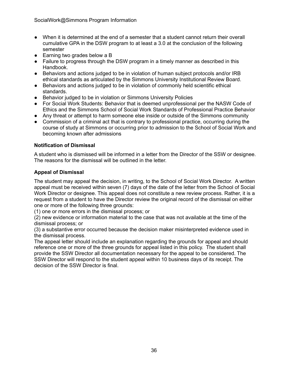- ● When it is determined at the end of a semester that a student cannot return their overall cumulative GPA in the DSW program to at least a 3.0 at the conclusion of the following semester
- Earning two grades below a B
- ● Failure to progress through the DSW program in a timely manner as described in this Handbook.
- ● Behaviors and actions judged to be in violation of human subject protocols and/or IRB ethical standards as articulated by the Simmons University Institutional Review Board.
- ● Behaviors and actions judged to be in violation of commonly held scientific ethical standards.
- Behavior judged to be in violation or Simmons University Policies
- ● For Social Work Students: Behavior that is deemed unprofessional per the NASW Code of Ethics and the Simmons School of Social Work Standards of Professional Practice Behavior
- Any threat or attempt to harm someone else inside or outside of the Simmons community
- ● Commission of a criminal act that is contrary to professional practice, occurring during the course of study at Simmons or occurring prior to admission to the School of Social Work and becoming known after admissions

# <span id="page-38-0"></span> **Notification of Dismissal**

 A student who is dismissed will be informed in a letter from the Director of the SSW or designee. The reasons for the dismissal will be outlined in the letter.

# <span id="page-38-1"></span> **Appeal of Dismissal**

 The student may appeal the decision, in writing, to the School of Social Work Director. A written appeal must be received within seven (7) days of the date of the letter from the School of Social Work Director or designee. This appeal does not constitute a new review process. Rather, it is a request from a student to have the Director review the original record of the dismissal on either one or more of the following three grounds:

(1) one or more errors in the dismissal process; or

 (2) new evidence or information material to the case that was not available at the time of the dismissal process; or

 (3) a substantive error occurred because the decision maker misinterpreted evidence used in the dismissal process.

 The appeal letter should include an explanation regarding the grounds for appeal and should reference one or more of the three grounds for appeal listed in this policy. The student shall provide the SSW Director all documentation necessary for the appeal to be considered. The SSW Director will respond to the student appeal within 10 business days of its receipt. The decision of the SSW Director is final.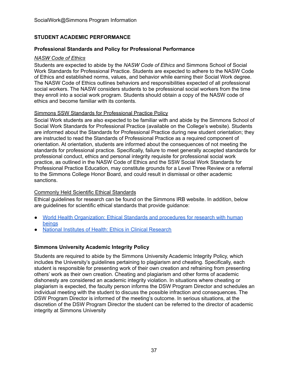# <span id="page-39-0"></span>**STUDENT ACADEMIC PERFORMANCE**

#### <span id="page-39-1"></span> **Professional Standards and Policy for Professional Performance**

#### *NASW Code of Ethics*

 Students are expected to abide by the *NASW Code of Ethics* and Simmons School of Social Work Standards for Professional Practice. Students are expected to adhere to the NASW Code of Ethics and established norms, values, and behavior while earning their Social Work degree. The NASW Code of Ethics outlines behaviors and responsibilities expected of all professional social workers. The NASW considers students to be professional social workers from the time they enroll into a social work program. Students should obtain a copy of the NASW code of ethics and become familiar with its contents.

#### Simmons SSW Standards for Professional Practice Policy

 Social Work students are also expected to be familiar with and abide by the Simmons School of Social Work Standards for Professional Practice (available on the College's website). Students are informed about the Standards for Professional Practice during new student orientation; they are instructed to read the Standards of Professional Practice as a required component of orientation. At orientation, students are informed about the consequences of not meeting the standards for professional practice. Specifically, failure to meet generally accepted standards for professional conduct, ethics and personal integrity requisite for professional social work practice, as outlined in the NASW Code of Ethics and the SSW Social Work Standards for Professional Practice Education, may constitute grounds for a Level Three Review or a referral to the Simmons College Honor Board, and could result in dismissal or other academic sanctions.

#### Commonly Held Scientific Ethical Standards

 Ethical guidelines for research can be found on the Simmons IRB website. In addition, below are guidelines for scientific ethical standards that provide guidance:

- ● World Health [Organization:](https://www.who.int/ethics/research/en/) Ethical Standards and procedures for research with human [beings](https://www.who.int/ethics/research/en/)
- National Institutes of Health: Ethics in Clinical [Research](https://www.cc.nih.gov/recruit/ethics.html)

# <span id="page-39-2"></span> **Simmons University Academic Integrity Policy**

 Students are required to abide by the Simmons University Academic Integrity Policy, which includes the University's guidelines pertaining to plagiarism and cheating. Specifically, each student is responsible for presenting work of their own creation and refraining from presenting others' work as their own creation. Cheating and plagiarism and other forms of academic dishonesty are considered an academic integrity violation. In situations where cheating or plagiarism is expected, the faculty person informs the DSW Program Director and schedules an individual meeting with the student to discuss the possible infraction and consequences. The DSW Program Director is informed of the meeting's outcome. In serious situations, at the discretion of the DSW Program Director the student can be referred to the director of academic integrity at Simmons University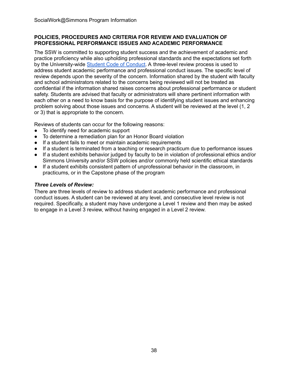# <span id="page-40-0"></span> **POLICIES, PROCEDURES AND CRITERIA FOR REVIEW AND EVALUATION OF PROFESSIONAL PERFORMANCE ISSUES AND ACADEMIC PERFORMANCE**

 The SSW is committed to supporting student success and the achievement of academic and practice proficiency while also upholding professional standards and the expectations set forth by the University-wide Student Code of [Conduct](https://www2.simmons.edu/documents/students/Simmons-University-Code-of-Conduct.pdf). A three-level review process is used to address student academic performance and professional conduct issues. The specific level of review depends upon the severity of the concern. Information shared by the student with faculty and school administrators related to the concerns being reviewed will not be treated as confidential if the information shared raises concerns about professional performance or student safety. Students are advised that faculty or administrators will share pertinent information with each other on a need to know basis for the purpose of identifying student issues and enhancing problem solving about those issues and concerns. A student will be reviewed at the level (1, 2 or 3) that is appropriate to the concern.

Reviews of students can occur for the following reasons:

- To identify need for academic support
- To determine a remediation plan for an Honor Board violation
- If a student fails to meet or maintain academic requirements
- If a student is terminated from a teaching or research practicum due to performance issues
- ● If a student exhibits behavior judged by faculty to be in violation of professional ethics and/or Simmons University and/or SSW policies and/or commonly held scientific ethical standards
- ● If a student exhibits consistent pattern of unprofessional behavior in the classroom, in practicums, or in the Capstone phase of the program

# *Three Levels of Review:*

 There are three levels of review to address student academic performance and professional conduct issues. A student can be reviewed at any level, and consecutive level review is not required. Specifically, a student may have undergone a Level 1 review and then may be asked to engage in a Level 3 review, without having engaged in a Level 2 review.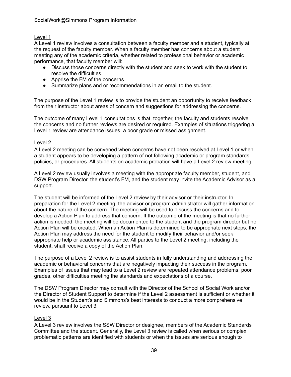# Level 1

 A Level 1 review involves a consultation between a faculty member and a student, typically at the request of the faculty member. When a faculty member has concerns about a student meeting any of the academic criteria, whether related to professional behavior or academic performance, that faculty member will:

- ● Discuss those concerns directly with the student and seek to work with the student to resolve the difficulties.
- Apprise the FM of the concerns
- Summarize plans and or recommendations in an email to the student.

 The purpose of the Level 1 review is to provide the student an opportunity to receive feedback from their instructor about areas of concern and suggestions for addressing the concerns.

 The outcome of many Level 1 consultations is that, together, the faculty and students resolve the concerns and no further reviews are desired or required. Examples of situations triggering a Level 1 review are attendance issues, a poor grade or missed assignment.

# Level 2

 A Level 2 meeting can be convened when concerns have not been resolved at Level 1 or when a student appears to be developing a pattern of not following academic or program standards, policies, or procedures. All students on academic probation will have a Level 2 review meeting.

 A Level 2 review usually involves a meeting with the appropriate faculty member, student, and DSW Program Director, the student's FM, and the student may invite the Academic Advisor as a support.

 The student will be informed of the Level 2 review by their advisor or their instructor. In preparation for the Level 2 meeting, the advisor or program administrator will gather information about the nature of the concern. The meeting will be used to discuss the concerns and to develop a Action Plan to address that concern. If the outcome of the meeting is that no further action is needed, the meeting will be documented to the student and the program director but no Action Plan will be created. When an Action Plan is determined to be appropriate next steps, the Action Plan may address the need for the student to modify their behavior and/or seek appropriate help or academic assistance. All parties to the Level 2 meeting, including the student, shall receive a copy of the Action Plan.

 The purpose of a Level 2 review is to assist students in fully understanding and addressing the academic or behavioral concerns that are negatively impacting their success in the program. Examples of issues that may lead to a Level 2 review are repeated attendance problems, poor grades, other difficulties meeting the standards and expectations of a course.

 The DSW Program Director may consult with the Director of the School of Social Work and/or the Director of Student Support to determine if the Level 2 assessment is sufficient or whether it would be in the Student's and Simmons's best interests to conduct a more comprehensive review, pursuant to Level 3.

# Level 3

 A Level 3 review involves the SSW Director or designee, members of the Academic Standards Committee and the student. Generally, the Level 3 review is called when serious or complex problematic patterns are identified with students or when the issues are serious enough to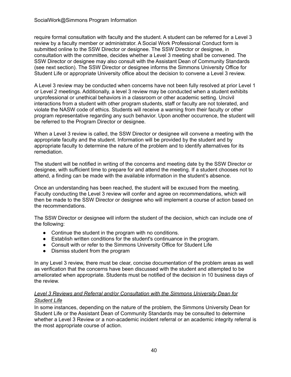require formal consultation with faculty and the student. A student can be referred for a Level 3 review by a faculty member or administrator. A Social Work Professional Conduct form is submitted online to the SSW Director or designee. The SSW Director or designee, in consultation with the committee, decides whether a Level 3 meeting shall be convened. The SSW Director or designee may also consult with the Assistant Dean of Community Standards (see next section). The SSW Director or designee informs the Simmons University Office for Student Life or appropriate University office about the decision to convene a Level 3 review.

 A Level 3 review may be conducted when concerns have not been fully resolved at prior Level 1 or Level 2 meetings. Additionally, a level 3 review may be conducted when a student exhibits unprofessional or unethical behaviors in a classroom or other academic setting. Uncivil interactions from a student with other program students, staff or faculty are not tolerated, and violate the NASW code of ethics. Students will receive a warning from their faculty or other program representative regarding any such behavior. Upon another occurrence, the student will be referred to the Program Director or designee.

 When a Level 3 review is called, the SSW Director or designee will convene a meeting with the appropriate faculty and the student. Information will be provided by the student and by appropriate faculty to determine the nature of the problem and to identify alternatives for its remediation.

 The student will be notified in writing of the concerns and meeting date by the SSW Director or designee, with sufficient time to prepare for and attend the meeting. If a student chooses not to attend, a finding can be made with the available information in the student's absence.

 Once an understanding has been reached, the student will be excused from the meeting. Faculty conducting the Level 3 review will confer and agree on recommendations, which will then be made to the SSW Director or designee who will implement a course of action based on the recommendations.

 The SSW Director or designee will inform the student of the decision, which can include one of the following:

- Continue the student in the program with no conditions.
- Establish written conditions for the student's continuance in the program.
- Consult with or refer to the Simmons University Office for Student Life
- Dismiss student from the program

 In any Level 3 review, there must be clear, concise documentation of the problem areas as well as verification that the concerns have been discussed with the student and attempted to be ameliorated when appropriate. Students must be notified of the decision in 10 business days of the review.

# *Level 3 Reviews and Referral and/or Consultation with the Simmons University Dean for Student Life*

 In some instances, depending on the nature of the problem, the Simmons University Dean for Student Life or the Assistant Dean of Community Standards may be consulted to determine whether a Level 3 Review or a non-academic incident referral or an academic integrity referral is the most appropriate course of action.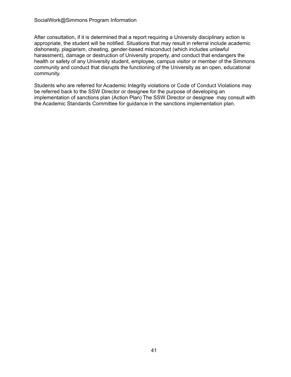After consultation, if it is determined that a report requiring a University disciplinary action is appropriate, the student will be notified. Situations that may result in referral include academic dishonesty, plagiarism, cheating, gender-based misconduct (which includes unlawful harassment), damage or destruction of University property, and conduct that endangers the health or safety of any University student, employee, campus visitor or member of the Simmons community and conduct that disrupts the functioning of the University as an open, educational community.

 Students who are referred for Academic Integrity violations or Code of Conduct Violations may be referred back to the SSW Director or designee for the purpose of developing an implementation of sanctions plan (Action Plan) The SSW Director or designee may consult with the Academic Standards Committee for guidance in the sanctions implementation plan.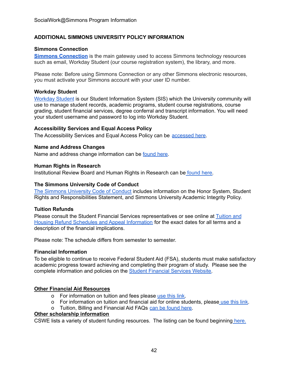# <span id="page-44-0"></span> **ADDITIONAL SIMMONS UNIVERSITY POLICY INFORMATION**

# <span id="page-44-1"></span>**Simmons Connection**

 **Simmons [Connection](https://connection.simmons.edu/)** is the main gateway used to access Simmons technology resources such as email, Workday Student (our course registration system), the library, and more.

 Please note: Before using Simmons Connection or any other Simmons electronic resources, you must activate your Simmons account with your user ID number.

# <span id="page-44-2"></span>**Workday Student**

[Workday](http://workday.simmons.edu/) Student is our Student Information System (SIS) which the University community will use to manage student records, academic programs, student course registrations, course grading, student financial services, degree conferral and transcript information. You will need your student username and password to log into Workday Student.

# <span id="page-44-3"></span> **Accessibility Services and Equal Access Policy**

<span id="page-44-4"></span>The Accessibility Services and Equal Access Policy can be [accessed](https://www.simmons.edu/your-simmons/student-support-resources/accessibility-services) here.

# **Name and Address Changes**

<span id="page-44-5"></span>Name and address change information can be [found](https://www.simmons.edu/academics/registrar/name-and-address-changes) here.

#### **Human Rights in Research**

<span id="page-44-6"></span>Institutional Review Board and Human Rights in Research can be [found](https://www.simmons.edu/academics/research/sponsored-programs/institutional-review-board) here.

# **The Simmons University Code of Conduct**

The Simmons [University](https://www2.simmons.edu/documents/students/Simmons-University-Code-of-Conduct.pdf) Code of Conduct includes information on the Honor System, Student Rights and Responsibilities Statement, and Simmons University Academic Integrity Policy.

# <span id="page-44-7"></span>**Tuition Refunds**

Please consult the Student Financial Services representatives or see online at [Tuition](https://www.simmons.edu/admission-financial-aid/financial-aid-and-affordability/billing-and-payment/tuition-housing-refund-schedules-and-appeal) and Housing Refund Schedules and Appeal [Information](https://www.simmons.edu/admission-financial-aid/financial-aid-and-affordability/billing-and-payment/tuition-housing-refund-schedules-and-appeal) for the exact dates for all terms and a description of the financial implications.

<span id="page-44-8"></span>Please note: The schedule differs from semester to semester.

#### **Financial Information**

 To be eligible to continue to receive Federal Student Aid (FSA), students must make satisfactory academic progress toward achieving and completing their program of study. Please see the complete information and policies on the **Student [Financial](https://www.simmons.edu/graduate/tuition-and-financial-aid) Services Website**.

# <span id="page-44-9"></span> **Other Financial Aid Resources**

- o For information on tuition and fees please [use](https://www.simmons.edu/graduate/tuition-and-financial-aid/tuition-and-fees) this link.
- o For information on tuition and financial aid for online students, please [use](https://www.simmons.edu/graduate/tuition-and-financial-aid/online-students) this link.
- o Tuition, Billing and Financial Aid FAQs can be [found](https://online.simmons.edu/doctorate/dsw/tuition-financial-aid/faq/) here.

#### <span id="page-44-10"></span>**Other scholarship information**

CSWE lists a variety of student funding resources. The listing can be found beginning [here.](https://www.cswe.org/Special-Pages/Visitor-Links/Students/Student-Funding-Opportunities)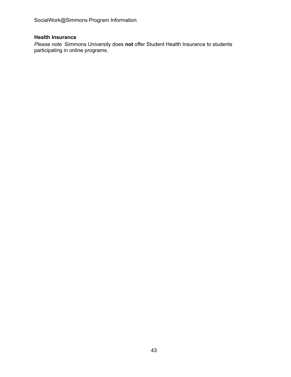SocialWork@Simmons Program Information

# <span id="page-45-0"></span>**Health Insurance**

 *Please note* Simmons University does **not** offer Student Health Insurance to students participating in online programs.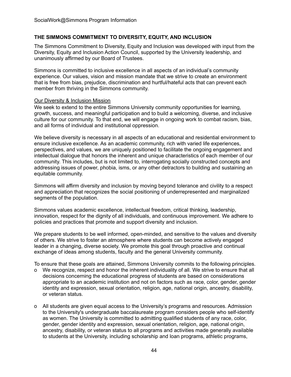# <span id="page-46-0"></span> **THE SIMMONS COMMITMENT TO DIVERSITY, EQUITY, AND INCLUSION**

 The Simmons Commitment to Diversity, Equity and Inclusion was developed with input from the Diversity, Equity and Inclusion Action Council, supported by the University leadership, and unanimously affirmed by our Board of Trustees.

 Simmons is committed to inclusive excellence in all aspects of an individual's community experience. Our values, vision and mission mandate that we strive to create an environment that is free from bias, prejudice, discrimination and hurtful/hateful acts that can prevent each member from thriving in the Simmons community.

#### **Our Diversity & Inclusion Mission**

 We seek to extend to the entire Simmons University community opportunities for learning, growth, success, and meaningful participation and to build a welcoming, diverse, and inclusive culture for our community. To that end, we will engage in ongoing work to combat racism, bias, and all forms of individual and institutional oppression.

 We believe diversity is necessary in all aspects of an educational and residential environment to ensure inclusive excellence. As an academic community, rich with varied life experiences, perspectives, and values, we are uniquely positioned to facilitate the ongoing engagement and intellectual dialogue that honors the inherent and unique characteristics of each member of our community. This includes, but is not limited to, interrogating socially constructed concepts and addressing issues of power, phobia, isms, or any other detractors to building and sustaining an equitable community.

 Simmons will affirm diversity and inclusion by moving beyond tolerance and civility to a respect and appreciation that recognizes the social positioning of underrepresented and marginalized segments of the population.

 Simmons values academic excellence, intellectual freedom, critical thinking, leadership, innovation, respect for the dignity of all individuals, and continuous improvement. We adhere to policies and practices that promote and support diversity and inclusion.

 We prepare students to be well informed, open-minded, and sensitive to the values and diversity of others. We strive to foster an atmosphere where students can become actively engaged leader in a changing, diverse society. We promote this goal through proactive and continual exchange of ideas among students, faculty and the general University community.

To ensure that these goals are attained, Simmons University commits to the following principles.

- o We recognize, respect and honor the inherent individuality of all. We strive to ensure that all decisions concerning the educational progress of students are based on considerations appropriate to an academic institution and not on factors such as race, color, gender, gender identity and expression, sexual orientation, religion, age, national origin, ancestry, disability, or veteran status.
- o All students are given equal access to the University's programs and resources. Admission to the University's undergraduate baccalaureate program considers people who self-identify as women. The University is committed to admitting qualified students of any race, color, gender, gender identity and expression, sexual orientation, religion, age, national origin, ancestry, disability, or veteran status to all programs and activities made generally available to students at the University, including scholarship and loan programs, athletic programs,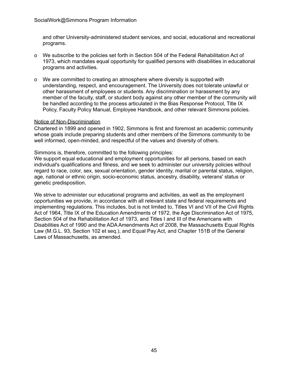and other University-administered student services, and social, educational and recreational programs.

- o We subscribe to the policies set forth in Section 504 of the Federal Rehabilitation Act of 1973, which mandates equal opportunity for qualified persons with disabilities in educational programs and activities.
- o We are committed to creating an atmosphere where diversity is supported with understanding, respect, and encouragement. The University does not tolerate unlawful or other harassment of employees or students. Any discrimination or harassment by any member of the faculty, staff, or student body against any other member of the community will be handled according to the process articulated in the Bias Response Protocol, Title IX Policy, Faculty Policy Manual, Employee Handbook, and other relevant Simmons policies.

#### Notice of Non-Discrimination

 Chartered in 1899 and opened in 1902, Simmons is first and foremost an academic community whose goals include preparing students and other members of the Simmons community to be well informed, open-minded, and respectful of the values and diversity of others.

Simmons is, therefore, committed to the following principles:

 We support equal educational and employment opportunities for all persons, based on each individual's qualifications and fitness, and we seek to administer our university policies without regard to race, color, sex, sexual orientation, gender identity, marital or parental status, religion, age, national or ethnic origin, socio-economic status, ancestry, disability, veterans' status or genetic predisposition.

 We strive to administer our educational programs and activities, as well as the employment opportunities we provide, in accordance with all relevant state and federal requirements and implementing regulations. This includes, but is not limited to, Titles VI and VII of the Civil Rights Act of 1964, Title IX of the Education Amendments of 1972, the Age Discrimination Act of 1975, Section 504 of the Rehabilitation Act of 1973, and Titles I and III of the Americans with Disabilities Act of 1990 and the ADA Amendments Act of 2008, the Massachusetts Equal Rights Law (M.G.L. 93, Section 102 et seq.), and Equal Pay Act, and Chapter 151B of the General Laws of Massachusetts, as amended.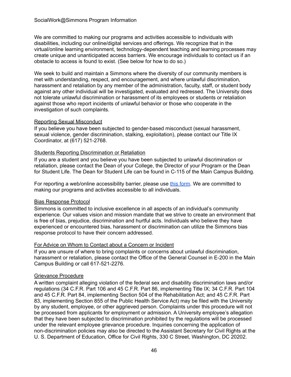We are committed to making our programs and activities accessible to individuals with disabilities, including our online/digital services and offerings. We recognize that in the virtual/online learning environment, technology-dependent teaching and learning processes may create unique and unanticipated access barriers. We encourage individuals to contact us if an obstacle to access is found to exist. (See below for how to do so.)

 We seek to build and maintain a Simmons where the diversity of our community members is met with understanding, respect, and encouragement, and where unlawful discrimination, harassment and retaliation by any member of the administration, faculty, staff, or student body against any other individual will be investigated, evaluated and redressed. The University does not tolerate unlawful discrimination or harassment of its employees or students or retaliation against those who report incidents of unlawful behavior or those who cooperate in the investigation of such complaints.

# Reporting Sexual Misconduct

 If you believe you have been subjected to gender-based misconduct (sexual harassment, sexual violence, gender discrimination, stalking, exploitation), please contact our Title IX Coordinator, at (617) 521-2768.

# Students Reporting Discrimination or Retaliation

 If you are a student and you believe you have been subjected to unlawful discrimination or retaliation, please contact the Dean of your College, the Director of your Program or the Dean for Student Life. The Dean for Student Life can be found in C-115 of the Main Campus Building.

For reporting a web/online accessibility barrier, please use *this [form](https://www.simmons.edu/report-barrier)*. We are committed to making our programs and activities accessible to all individuals.

# Bias Response Protocol

 Simmons is committed to inclusive excellence in all aspects of an individual's community experience. Our values vision and mission mandate that we strive to create an environment that is free of bias, prejudice, discrimination and hurtful acts. Individuals who believe they have experienced or encountered bias, harassment or discrimination can utilize the Simmons bias response protocol to have their concern addressed.

#### For Advice on Whom to Contact about a Concern or Incident

 If you are unsure of where to bring complaints or concerns about unlawful discrimination, harassment or retaliation, please contact the Office of the General Counsel in E-200 in the Main Campus Building or call 617-521-2276.

# Grievance Procedure

 A written complaint alleging violation of the federal sex and disability discrimination laws and/or regulations (34 C.F.R. Part 106 and 45 C.F.R. Part 86, implementing Title IX; 34 C.F.R. Part 104 and 45 C.F.R. Part 84, implementing Section 504 of the Rehabilitation Act; and 45 C.F.R. Part 83, implementing Section 855 of the Public Health Service Act) may be filed with the University by any student, employee, or other aggrieved person. Complaints under this procedure will not be processed from applicants for employment or admission. A University employee's allegation that they have been subjected to discrimination prohibited by the regulations will be processed under the relevant employee grievance procedure. Inquiries concerning the application of non-discrimination policies may also be directed to the Assistant Secretary for Civil Rights at the U. S. Department of Education, Office for Civil Rights, 330 C Street, Washington, DC 20202.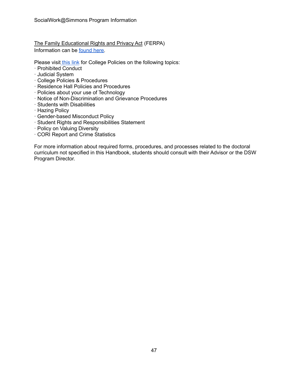The Family Educational Rights and Privacy Act (FERPA) Information can be [found](https://www.simmons.edu/academics/registrar/privacy-student-records) here.

Please visit [this](http://www.simmons.edu/student-life/handbook) link for College Policies on the following topics:

- · Prohibited Conduct
- · Judicial System
- · College Policies & Procedures
- · Residence Hall Policies and Procedures
- · Policies about your use of Technology
- · Notice of Non-Discrimination and Grievance Procedures
- · Students with Disabilities
- · Hazing Policy
- · Gender-based Misconduct Policy
- · Student Rights and Responsibilities Statement
- · Policy on Valuing Diversity
- · CORI Report and Crime Statistics

 For more information about required forms, procedures, and processes related to the doctoral curriculum not specified in this Handbook, students should consult with their Advisor or the DSW Program Director.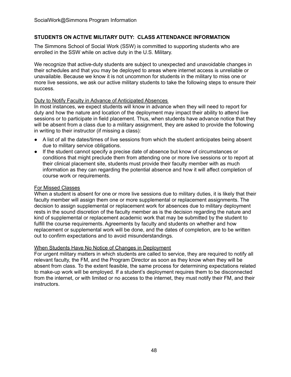# <span id="page-50-0"></span> **STUDENTS ON ACTIVE MILITARY DUTY: CLASS ATTENDANCE INFORMATION**

 The Simmons School of Social Work (SSW) is committed to supporting students who are enrolled in the SSW while on active duty in the U.S. Military.

 We recognize that active-duty students are subject to unexpected and unavoidable changes in their schedules and that you may be deployed to areas where internet access is unreliable or unavailable. Because we know it is not uncommon for students in the military to miss one or more live sessions, we ask our active military students to take the following steps to ensure their success.

#### Duty to Notify Faculty in Advance of Anticipated Absences

 In most instances, we expect students will know in advance when they will need to report for duty and how the nature and location of the deployment may impact their ability to attend live sessions or to participate in field placement. Thus, when students have advance notice that they will be absent from a class due to a military assignment, they are asked to provide the following in writing to their instructor (if missing a class):

- ● A list of all the dates/times of live sessions from which the student anticipates being absent due to military service obligations.
- ● If the student cannot specify a precise date of absence but know of circumstances or conditions that might preclude them from attending one or more live sessions or to report at their clinical placement site, students must provide their faculty member with as much information as they can regarding the potential absence and how it will affect completion of course work or requirements.

#### For Missed Classes

 When a student is absent for one or more live sessions due to military duties, it is likely that their faculty member will assign them one or more supplemental or replacement assignments. The decision to assign supplemental or replacement work for absences due to military deployment rests in the sound discretion of the faculty member as is the decision regarding the nature and kind of supplemental or replacement academic work that may be submitted by the student to fulfill the course requirements. Agreements by faculty and students on whether and how replacement or supplemental work will be done, and the dates of completion, are to be written out to confirm expectations and to avoid misunderstandings.

#### When Students Have No Notice of Changes in Deployment

 For urgent military matters in which students are called to service, they are required to notify all relevant faculty, the FM, and the Program Director as soon as they know when they will be absent from class. To the extent feasible, the same process for determining expectations related to make-up work will be employed. If a student's deployment requires them to be disconnected from the internet, or with limited or no access to the internet, they must notify their FM, and their instructors.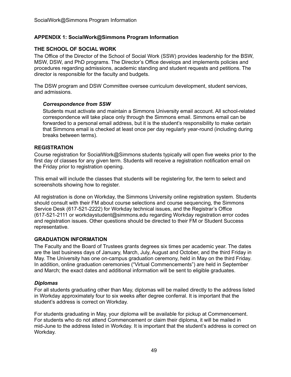# <span id="page-51-0"></span> **APPENDIX 1: SocialWork@Simmons Program Information**

#### **THE SCHOOL OF SOCIAL WORK**

 The Office of the Director of the School of Social Work (SSW) provides leadership for the BSW, MSW, DSW, and PhD programs. The Director's Office develops and implements policies and procedures regarding admissions, academic standing and student requests and petitions. The director is responsible for the faculty and budgets.

 The DSW program and DSW Committee oversee curriculum development, student services, and admissions.

#### *Correspondence from SSW*

 Students must activate and maintain a Simmons University email account. All school-related correspondence will take place only through the Simmons email. Simmons email can be forwarded to a personal email address, but it is the student's responsibility to make certain that Simmons email is checked at least once per day regularly year-round (including during breaks between terms).

#### **REGISTRATION**

 Course registration for SocialWork@Simmons students typically will open five weeks prior to the first day of classes for any given term. Students will receive a registration notification email on the Friday prior to registration opening.

 This email will include the classes that students will be registering for, the term to select and screenshots showing how to register.

 All registration is done on Workday, the Simmons University online registration system. Students should consult with their FM about course selections and course sequencing, the Simmons Service Desk (617-521-2222) for Workday technical issues, and the Registrar's Office (617-521-2111 or [workdaystudent@simmons.edu](mailto:workdaystudent@simmons.edu) regarding Workday registration error codes and registration issues. Other questions should be directed to their FM or Student Success representative.

#### **GRADUATION INFORMATION**

 The Faculty and the Board of Trustees grants degrees six times per academic year. The dates are the last business days of January, March, July, August and October, and the third Friday in May. The University has one on-campus graduation ceremony, held in May on the third Friday. In addition, online graduation ceremonies ("Virtual Commencements") are held in September and March; the exact dates and additional information will be sent to eligible graduates.

#### *Diplomas*

 For all students graduating other than May, diplomas will be mailed directly to the address listed in Workday approximately four to six weeks after degree conferral. It is important that the student's address is correct on Workday.

 For students graduating in May, your diploma will be available for pickup at Commencement. For students who do not attend Commencement or claim their diploma, it will be mailed in mid-June to the address listed in Workday. It is important that the student's address is correct on Workday.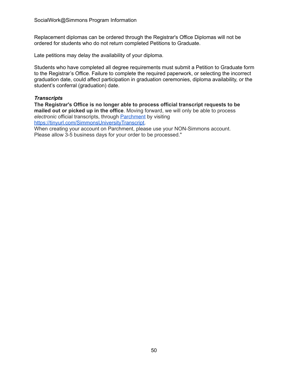Replacement diplomas can be ordered through the Registrar's Office Diplomas will not be ordered for students who do not return completed Petitions to Graduate.

Late petitions may delay the availability of your diploma.

 Students who have completed all degree requirements must submit a Petition to Graduate form to the Registrar's Office. Failure to complete the required paperwork, or selecting the incorrect graduation date, could affect participation in graduation ceremonies, diploma availability, or the student's conferral (graduation) date.

# *Transcripts*

 **The Registrar's Office is no longer able to process official transcript requests to be mailed out or picked up in the office**. Moving forward, we will only be able to process *electronic* official transcripts, through [Parchment](https://www.parchment.com/u/registration/34321/account) by visiting [https://tinyurl.com/SimmonsUniversityTranscript.](https://tinyurl.com/SimmonsUniveristyTranscript)

 When creating your account on Parchment, please use your NON-Simmons account. Please allow 3-5 business days for your order to be processed."